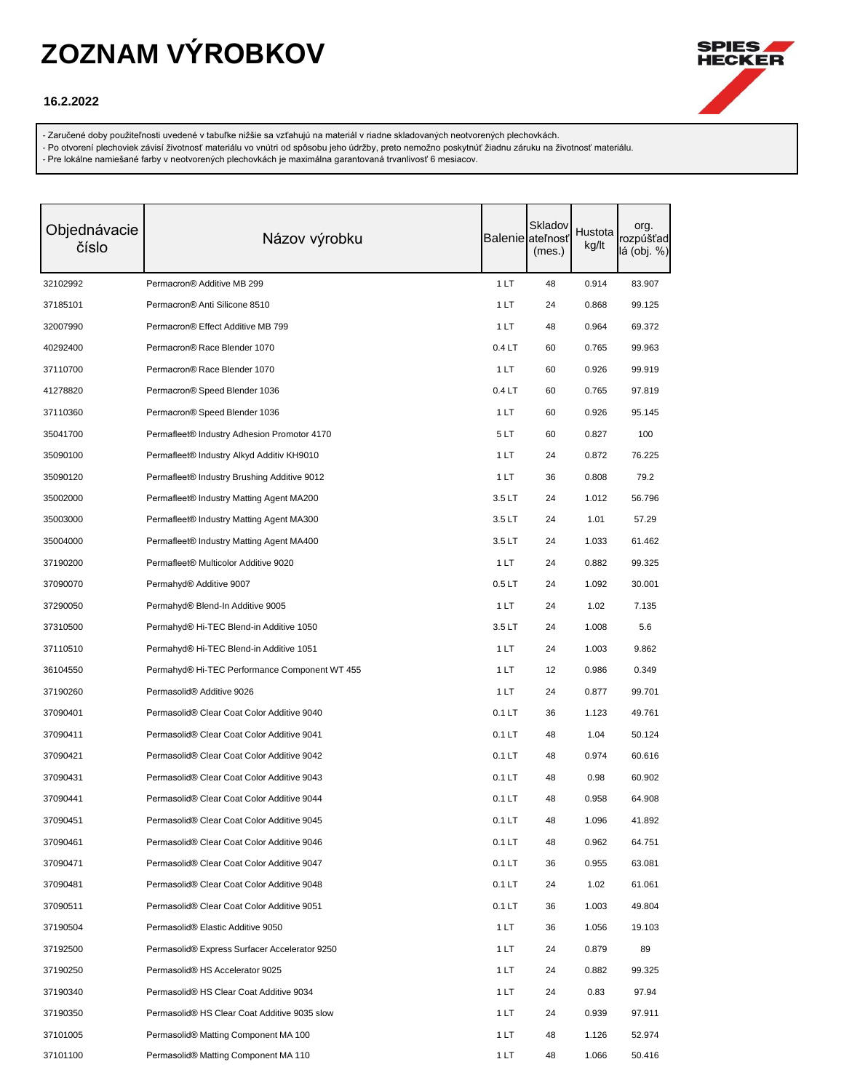

### **16.2.2022**

- Zaručené doby použiteľnosti uvedené v tabuľke nižšie sa vzťahujú na materiál v riadne skladovaných neotvorených plechovkách.

- Po otvorení plechoviek závisí životnosť materiálu vo vnútri od spôsobu jeho údržby, preto nemožno poskytnúť žiadnu záruku na životnosť materiálu.

| Objednávacie<br>číslo | Názov výrobku                                           |                   | Skladov<br>Balenie ateľnosť<br>(mes.) | Hustota<br>kg/lt | org.<br>rozpúšťad<br>lá (obj. %) |
|-----------------------|---------------------------------------------------------|-------------------|---------------------------------------|------------------|----------------------------------|
| 32102992              | Permacron® Additive MB 299                              | 1LT               | 48                                    | 0.914            | 83.907                           |
| 37185101              | Permacron® Anti Silicone 8510                           | 1 LT              | 24                                    | 0.868            | 99.125                           |
| 32007990              | Permacron® Effect Additive MB 799                       | 1 LT              | 48                                    | 0.964            | 69.372                           |
| 40292400              | Permacron® Race Blender 1070                            | 0.4LT             | 60                                    | 0.765            | 99.963                           |
| 37110700              | Permacron® Race Blender 1070                            | 1 LT              | 60                                    | 0.926            | 99.919                           |
| 41278820              | Permacron® Speed Blender 1036                           | 0.4LT             | 60                                    | 0.765            | 97.819                           |
| 37110360              | Permacron® Speed Blender 1036                           | 1 LT              | 60                                    | 0.926            | 95.145                           |
| 35041700              | Permafleet <sup>®</sup> Industry Adhesion Promotor 4170 | 5LT               | 60                                    | 0.827            | 100                              |
| 35090100              | Permafleet <sup>®</sup> Industry Alkyd Additiv KH9010   | 1 LT              | 24                                    | 0.872            | 76.225                           |
| 35090120              | Permafleet® Industry Brushing Additive 9012             | 1 LT              | 36                                    | 0.808            | 79.2                             |
| 35002000              | Permafleet <sup>®</sup> Industry Matting Agent MA200    | 3.5LT             | 24                                    | 1.012            | 56.796                           |
| 35003000              | Permafleet® Industry Matting Agent MA300                | 3.5LT             | 24                                    | 1.01             | 57.29                            |
| 35004000              | Permafleet® Industry Matting Agent MA400                | 3.5LT             | 24                                    | 1.033            | 61.462                           |
| 37190200              | Permafleet <sup>®</sup> Multicolor Additive 9020        | 1LT               | 24                                    | 0.882            | 99.325                           |
| 37090070              | Permahyd® Additive 9007                                 | 0.5 <sub>LT</sub> | 24                                    | 1.092            | 30.001                           |
| 37290050              | Permahyd® Blend-In Additive 9005                        | 1LT               | 24                                    | 1.02             | 7.135                            |
| 37310500              | Permahyd® Hi-TEC Blend-in Additive 1050                 | 3.5LT             | 24                                    | 1.008            | 5.6                              |
| 37110510              | Permahyd® Hi-TEC Blend-in Additive 1051                 | 1 LT              | 24                                    | 1.003            | 9.862                            |
| 36104550              | Permahyd® Hi-TEC Performance Component WT 455           | 1 LT              | 12                                    | 0.986            | 0.349                            |
| 37190260              | Permasolid® Additive 9026                               | 1 LT              | 24                                    | 0.877            | 99.701                           |
| 37090401              | Permasolid® Clear Coat Color Additive 9040              | $0.1 L$ T         | 36                                    | 1.123            | 49.761                           |
| 37090411              | Permasolid <sup>®</sup> Clear Coat Color Additive 9041  | $0.1 L$ T         | 48                                    | 1.04             | 50.124                           |
| 37090421              | Permasolid® Clear Coat Color Additive 9042              | $0.1 L$ T         | 48                                    | 0.974            | 60.616                           |
| 37090431              | Permasolid® Clear Coat Color Additive 9043              | $0.1 L$ T         | 48                                    | 0.98             | 60.902                           |
| 37090441              | Permasolid® Clear Coat Color Additive 9044              | $0.1 L$ T         | 48                                    | 0.958            | 64.908                           |
| 37090451              | Permasolid® Clear Coat Color Additive 9045              | $0.1 L$ T         | 48                                    | 1.096            | 41.892                           |
| 37090461              | Permasolid® Clear Coat Color Additive 9046              | $0.1 L$ T         | 48                                    | 0.962            | 64.751                           |
| 37090471              | Permasolid® Clear Coat Color Additive 9047              | $0.1 L$ T         | 36                                    | 0.955            | 63.081                           |
| 37090481              | Permasolid® Clear Coat Color Additive 9048              | $0.1 L$ T         | 24                                    | 1.02             | 61.061                           |
| 37090511              | Permasolid® Clear Coat Color Additive 9051              | $0.1 L$ T         | 36                                    | 1.003            | 49.804                           |
| 37190504              | Permasolid® Elastic Additive 9050                       | 1LT               | 36                                    | 1.056            | 19.103                           |
| 37192500              | Permasolid® Express Surfacer Accelerator 9250           | 1 LT              | 24                                    | 0.879            | 89                               |
| 37190250              | Permasolid® HS Accelerator 9025                         | 1 LT              | 24                                    | 0.882            | 99.325                           |
| 37190340              | Permasolid® HS Clear Coat Additive 9034                 | 1 LT              | 24                                    | 0.83             | 97.94                            |
| 37190350              | Permasolid® HS Clear Coat Additive 9035 slow            | 1 LT              | 24                                    | 0.939            | 97.911                           |
| 37101005              | Permasolid® Matting Component MA 100                    | 1LT               | 48                                    | 1.126            | 52.974                           |
| 37101100              | Permasolid® Matting Component MA 110                    | 1 LT              | 48                                    | 1.066            | 50.416                           |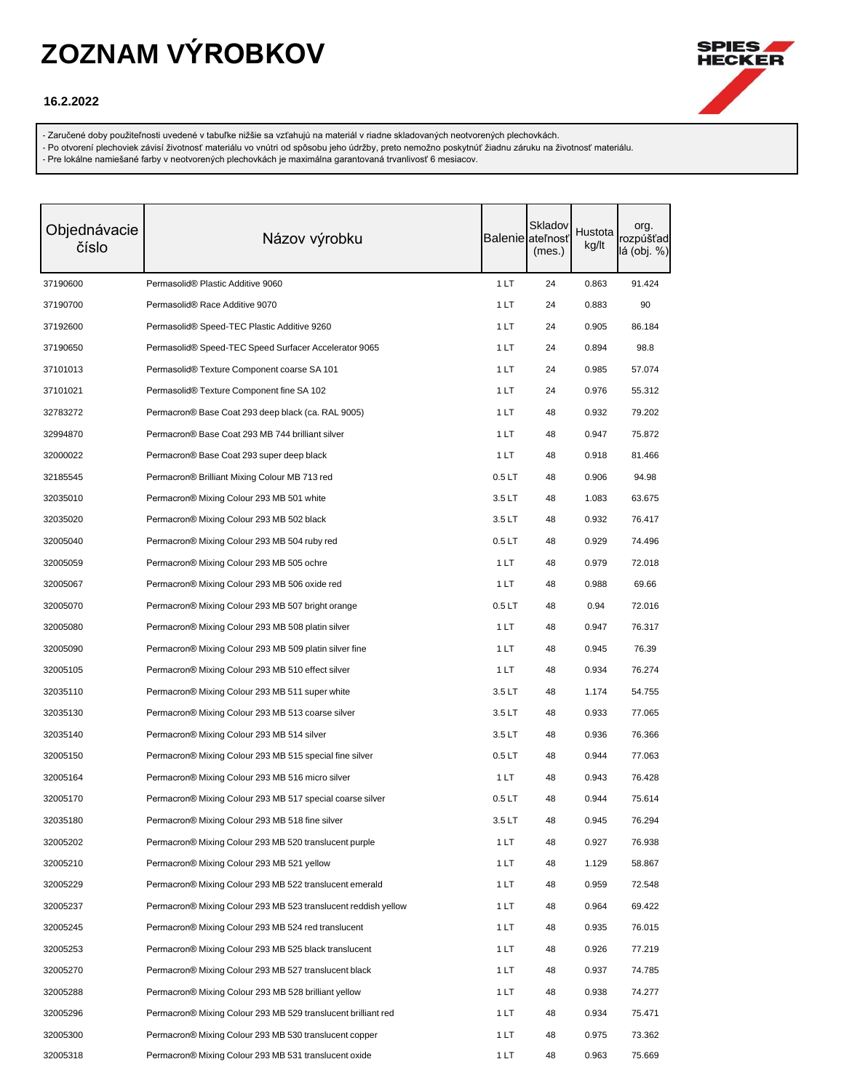

#### **16.2.2022**

- Zaručené doby použiteľnosti uvedené v tabuľke nižšie sa vzťahujú na materiál v riadne skladovaných neotvorených plechovkách.

- Po otvorení plechoviek závisí životnosť materiálu vo vnútri od spôsobu jeho údržby, preto nemožno poskytnúť žiadnu záruku na životnosť materiálu.

| Objednávacie<br>číslo | Názov výrobku                                                    |                   | Skladov<br><b>Balenie</b> ateľnosť<br>(mes.) | Hustota<br>kg/lt | org.<br>rozpúšťad<br>lá (obj. %) |
|-----------------------|------------------------------------------------------------------|-------------------|----------------------------------------------|------------------|----------------------------------|
| 37190600              | Permasolid® Plastic Additive 9060                                | 1LT               | 24                                           | 0.863            | 91.424                           |
| 37190700              | Permasolid® Race Additive 9070                                   | 1 LT              | 24                                           | 0.883            | 90                               |
| 37192600              | Permasolid <sup>®</sup> Speed-TEC Plastic Additive 9260          | 1 LT              | 24                                           | 0.905            | 86.184                           |
| 37190650              | Permasolid® Speed-TEC Speed Surfacer Accelerator 9065            | 1 LT              | 24                                           | 0.894            | 98.8                             |
| 37101013              | Permasolid® Texture Component coarse SA 101                      | 1 LT              | 24                                           | 0.985            | 57.074                           |
| 37101021              | Permasolid® Texture Component fine SA 102                        | 1 LT              | 24                                           | 0.976            | 55.312                           |
| 32783272              | Permacron® Base Coat 293 deep black (ca. RAL 9005)               | 1 LT              | 48                                           | 0.932            | 79.202                           |
| 32994870              | Permacron® Base Coat 293 MB 744 brilliant silver                 | 1 LT              | 48                                           | 0.947            | 75.872                           |
| 32000022              | Permacron® Base Coat 293 super deep black                        | 1 LT              | 48                                           | 0.918            | 81.466                           |
| 32185545              | Permacron <sup>®</sup> Brilliant Mixing Colour MB 713 red        | 0.5 <sub>LT</sub> | 48                                           | 0.906            | 94.98                            |
| 32035010              | Permacron® Mixing Colour 293 MB 501 white                        | 3.5LT             | 48                                           | 1.083            | 63.675                           |
| 32035020              | Permacron® Mixing Colour 293 MB 502 black                        | 3.5LT             | 48                                           | 0.932            | 76.417                           |
| 32005040              | Permacron® Mixing Colour 293 MB 504 ruby red                     | 0.5 <sub>LT</sub> | 48                                           | 0.929            | 74.496                           |
| 32005059              | Permacron® Mixing Colour 293 MB 505 ochre                        | 1 LT              | 48                                           | 0.979            | 72.018                           |
| 32005067              | Permacron® Mixing Colour 293 MB 506 oxide red                    | 1 LT              | 48                                           | 0.988            | 69.66                            |
| 32005070              | Permacron® Mixing Colour 293 MB 507 bright orange                | 0.5LT             | 48                                           | 0.94             | 72.016                           |
| 32005080              | Permacron® Mixing Colour 293 MB 508 platin silver                | 1 LT              | 48                                           | 0.947            | 76.317                           |
| 32005090              | Permacron® Mixing Colour 293 MB 509 platin silver fine           | 1 LT              | 48                                           | 0.945            | 76.39                            |
| 32005105              | Permacron® Mixing Colour 293 MB 510 effect silver                | 1 LT              | 48                                           | 0.934            | 76.274                           |
| 32035110              | Permacron® Mixing Colour 293 MB 511 super white                  | 3.5LT             | 48                                           | 1.174            | 54.755                           |
| 32035130              | Permacron® Mixing Colour 293 MB 513 coarse silver                | 3.5LT             | 48                                           | 0.933            | 77.065                           |
| 32035140              | Permacron® Mixing Colour 293 MB 514 silver                       | 3.5LT             | 48                                           | 0.936            | 76.366                           |
| 32005150              | Permacron® Mixing Colour 293 MB 515 special fine silver          | 0.5LT             | 48                                           | 0.944            | 77.063                           |
| 32005164              | Permacron® Mixing Colour 293 MB 516 micro silver                 | 1 LT              | 48                                           | 0.943            | 76.428                           |
| 32005170              | Permacron® Mixing Colour 293 MB 517 special coarse silver        | 0.5LT             | 48                                           | 0.944            | 75.614                           |
| 32035180              | Permacron® Mixing Colour 293 MB 518 fine silver                  | 3.5 LT            | 48                                           | 0.945            | 76.294                           |
| 32005202              | Permacron® Mixing Colour 293 MB 520 translucent purple           | 1LT               | 48                                           | 0.927            | 76.938                           |
| 32005210              | Permacron® Mixing Colour 293 MB 521 yellow                       | 1 LT              | 48                                           | 1.129            | 58.867                           |
| 32005229              | Permacron® Mixing Colour 293 MB 522 translucent emerald          | 1 LT              | 48                                           | 0.959            | 72.548                           |
| 32005237              | Permacron® Mixing Colour 293 MB 523 translucent reddish yellow   | 1 LT              | 48                                           | 0.964            | 69.422                           |
| 32005245              | Permacron® Mixing Colour 293 MB 524 red translucent              | 1 LT              | 48                                           | 0.935            | 76.015                           |
| 32005253              | Permacron® Mixing Colour 293 MB 525 black translucent            | 1 LT              | 48                                           | 0.926            | 77.219                           |
| 32005270              | Permacron® Mixing Colour 293 MB 527 translucent black            | 1 LT              | 48                                           | 0.937            | 74.785                           |
| 32005288              | Permacron <sup>®</sup> Mixing Colour 293 MB 528 brilliant yellow | 1 LT              | 48                                           | 0.938            | 74.277                           |
| 32005296              | Permacron® Mixing Colour 293 MB 529 translucent brilliant red    | 1 LT              | 48                                           | 0.934            | 75.471                           |
| 32005300              | Permacron® Mixing Colour 293 MB 530 translucent copper           | 1 LT              | 48                                           | 0.975            | 73.362                           |
| 32005318              | Permacron® Mixing Colour 293 MB 531 translucent oxide            | 1 LT              | 48                                           | 0.963            | 75.669                           |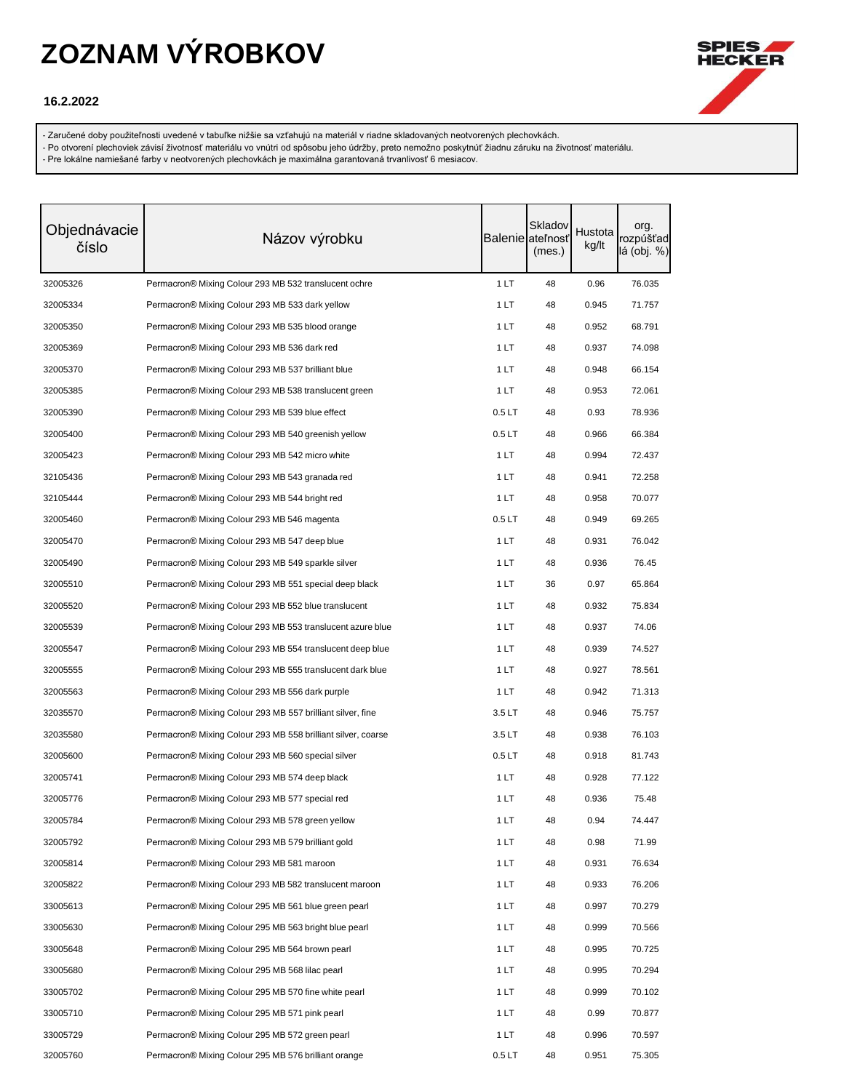

### **16.2.2022**

- Zaručené doby použiteľnosti uvedené v tabuľke nižšie sa vzťahujú na materiál v riadne skladovaných neotvorených plechovkách.

- Po otvorení plechoviek závisí životnosť materiálu vo vnútri od spôsobu jeho údržby, preto nemožno poskytnúť žiadnu záruku na životnosť materiálu.
- Pre lokálne namiešané farby v neotvorených plechovkách je maximálna garantovaná trvanlivosť 6 mesiacov.

| Objednávacie<br>číslo | Názov výrobku                                                | <b>Balenie</b> ateľnost | Skladov<br>(mes.) | Hustota<br>kg/lt | org.<br>rozpúšťad<br>lá (obj. %) |
|-----------------------|--------------------------------------------------------------|-------------------------|-------------------|------------------|----------------------------------|
| 32005326              | Permacron® Mixing Colour 293 MB 532 translucent ochre        | 1LT                     | 48                | 0.96             | 76.035                           |
| 32005334              | Permacron® Mixing Colour 293 MB 533 dark yellow              | 1 LT                    | 48                | 0.945            | 71.757                           |
| 32005350              | Permacron® Mixing Colour 293 MB 535 blood orange             | 1 LT                    | 48                | 0.952            | 68.791                           |
| 32005369              | Permacron® Mixing Colour 293 MB 536 dark red                 | 1 LT                    | 48                | 0.937            | 74.098                           |
| 32005370              | Permacron® Mixing Colour 293 MB 537 brilliant blue           | 1 LT                    | 48                | 0.948            | 66.154                           |
| 32005385              | Permacron® Mixing Colour 293 MB 538 translucent green        | 1 LT                    | 48                | 0.953            | 72.061                           |
| 32005390              | Permacron® Mixing Colour 293 MB 539 blue effect              | 0.5LT                   | 48                | 0.93             | 78.936                           |
| 32005400              | Permacron® Mixing Colour 293 MB 540 greenish yellow          | 0.5LT                   | 48                | 0.966            | 66.384                           |
| 32005423              | Permacron® Mixing Colour 293 MB 542 micro white              | 1 LT                    | 48                | 0.994            | 72.437                           |
| 32105436              | Permacron® Mixing Colour 293 MB 543 granada red              | 1 LT                    | 48                | 0.941            | 72.258                           |
| 32105444              | Permacron® Mixing Colour 293 MB 544 bright red               | 1 LT                    | 48                | 0.958            | 70.077                           |
| 32005460              | Permacron® Mixing Colour 293 MB 546 magenta                  | 0.5 <sub>LT</sub>       | 48                | 0.949            | 69.265                           |
| 32005470              | Permacron® Mixing Colour 293 MB 547 deep blue                | 1 LT                    | 48                | 0.931            | 76.042                           |
| 32005490              | Permacron® Mixing Colour 293 MB 549 sparkle silver           | 1 LT                    | 48                | 0.936            | 76.45                            |
| 32005510              | Permacron® Mixing Colour 293 MB 551 special deep black       | 1 LT                    | 36                | 0.97             | 65.864                           |
| 32005520              | Permacron® Mixing Colour 293 MB 552 blue translucent         | 1 LT                    | 48                | 0.932            | 75.834                           |
| 32005539              | Permacron® Mixing Colour 293 MB 553 translucent azure blue   | 1 LT                    | 48                | 0.937            | 74.06                            |
| 32005547              | Permacron® Mixing Colour 293 MB 554 translucent deep blue    | 1 LT                    | 48                | 0.939            | 74.527                           |
| 32005555              | Permacron® Mixing Colour 293 MB 555 translucent dark blue    | 1 LT                    | 48                | 0.927            | 78.561                           |
| 32005563              | Permacron® Mixing Colour 293 MB 556 dark purple              | 1 LT                    | 48                | 0.942            | 71.313                           |
| 32035570              | Permacron® Mixing Colour 293 MB 557 brilliant silver, fine   | 3.5LT                   | 48                | 0.946            | 75.757                           |
| 32035580              | Permacron® Mixing Colour 293 MB 558 brilliant silver, coarse | 3.5LT                   | 48                | 0.938            | 76.103                           |
| 32005600              | Permacron® Mixing Colour 293 MB 560 special silver           | 0.5LT                   | 48                | 0.918            | 81.743                           |
| 32005741              | Permacron® Mixing Colour 293 MB 574 deep black               | 1 LT                    | 48                | 0.928            | 77.122                           |
| 32005776              | Permacron® Mixing Colour 293 MB 577 special red              | 1 LT                    | 48                | 0.936            | 75.48                            |
| 32005784              | Permacron® Mixing Colour 293 MB 578 green yellow             | 1 LT                    | 48                | 0.94             | 74.447                           |
| 32005792              | Permacron® Mixing Colour 293 MB 579 brilliant gold           | 1 LT                    | 48                | 0.98             | 71.99                            |
| 32005814              | Permacron® Mixing Colour 293 MB 581 maroon                   | 1 LT                    | 48                | 0.931            | 76.634                           |
| 32005822              | Permacron® Mixing Colour 293 MB 582 translucent maroon       | 1 LT                    | 48                | 0.933            | 76.206                           |
| 33005613              | Permacron® Mixing Colour 295 MB 561 blue green pearl         | 1 LT                    | 48                | 0.997            | 70.279                           |
| 33005630              | Permacron® Mixing Colour 295 MB 563 bright blue pearl        | 1 LT                    | 48                | 0.999            | 70.566                           |
| 33005648              | Permacron® Mixing Colour 295 MB 564 brown pearl              | 1 LT                    | 48                | 0.995            | 70.725                           |
| 33005680              | Permacron® Mixing Colour 295 MB 568 lilac pearl              | 1 LT                    | 48                | 0.995            | 70.294                           |
| 33005702              | Permacron® Mixing Colour 295 MB 570 fine white pearl         | 1 LT                    | 48                | 0.999            | 70.102                           |
| 33005710              | Permacron® Mixing Colour 295 MB 571 pink pearl               | 1 LT                    | 48                | 0.99             | 70.877                           |
| 33005729              | Permacron® Mixing Colour 295 MB 572 green pearl              | 1 LT                    | 48                | 0.996            | 70.597                           |
| 32005760              | Permacron® Mixing Colour 295 MB 576 brilliant orange         | 0.5 <sub>LT</sub>       | 48                | 0.951            | 75.305                           |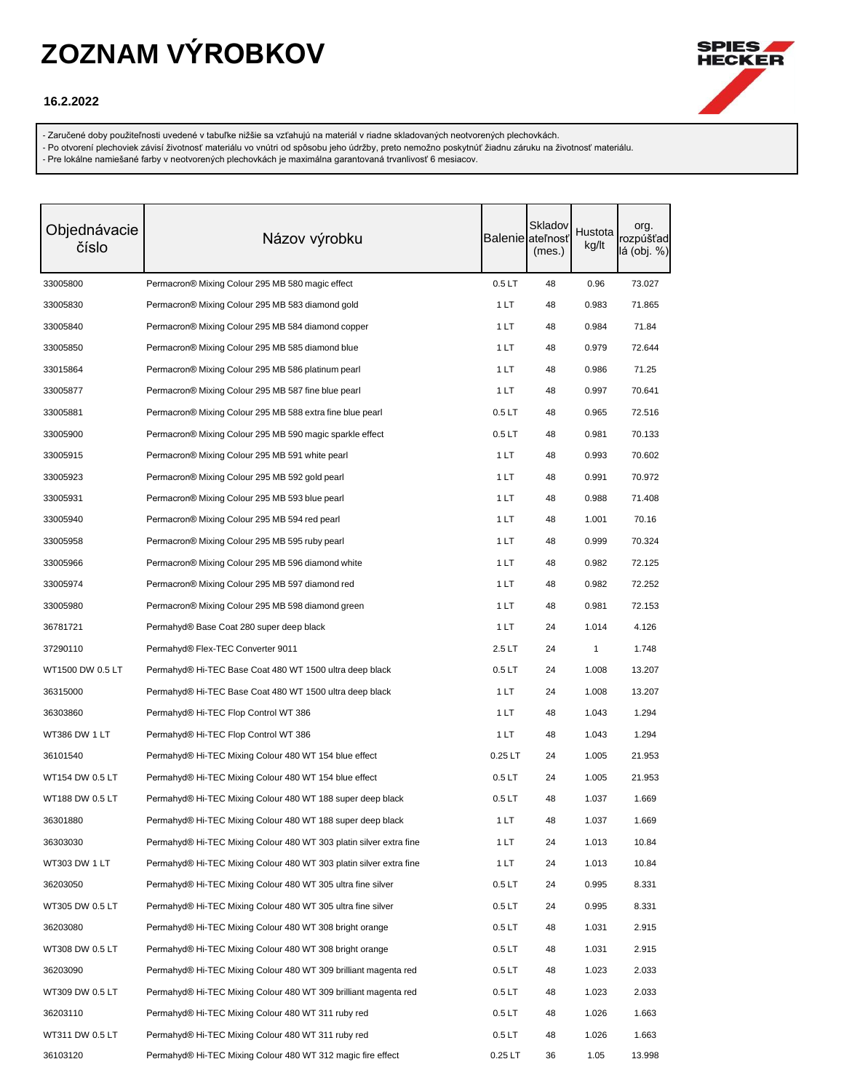

### **16.2.2022**

- Zaručené doby použiteľnosti uvedené v tabuľke nižšie sa vzťahujú na materiál v riadne skladovaných neotvorených plechovkách.

- Po otvorení plechoviek závisí životnosť materiálu vo vnútri od spôsobu jeho údržby, preto nemožno poskytnúť žiadnu záruku na životnosť materiálu.

| Objednávacie<br>číslo | Názov výrobku                                                      |                   | Skladov<br><b>Balenie</b> ateľnosť<br>(mes.) | Hustota<br>kg/lt | org.<br>rozpúšťad<br>lá (obj. %) |
|-----------------------|--------------------------------------------------------------------|-------------------|----------------------------------------------|------------------|----------------------------------|
|                       |                                                                    |                   |                                              |                  |                                  |
| 33005800              | Permacron® Mixing Colour 295 MB 580 magic effect                   | 0.5LT             | 48                                           | 0.96             | 73.027                           |
| 33005830              | Permacron® Mixing Colour 295 MB 583 diamond gold                   | 1 LT              | 48                                           | 0.983            | 71.865                           |
| 33005840              | Permacron® Mixing Colour 295 MB 584 diamond copper                 | 1 LT              | 48                                           | 0.984            | 71.84                            |
| 33005850              | Permacron® Mixing Colour 295 MB 585 diamond blue                   | 1 LT              | 48                                           | 0.979            | 72.644                           |
| 33015864              | Permacron® Mixing Colour 295 MB 586 platinum pearl                 | 1 LT              | 48                                           | 0.986            | 71.25                            |
| 33005877              | Permacron® Mixing Colour 295 MB 587 fine blue pearl                | 1 LT              | 48                                           | 0.997            | 70.641                           |
| 33005881              | Permacron® Mixing Colour 295 MB 588 extra fine blue pearl          | 0.5LT             | 48                                           | 0.965            | 72.516                           |
| 33005900              | Permacron® Mixing Colour 295 MB 590 magic sparkle effect           | 0.5LT             | 48                                           | 0.981            | 70.133                           |
| 33005915              | Permacron® Mixing Colour 295 MB 591 white pearl                    | 1 LT              | 48                                           | 0.993            | 70.602                           |
| 33005923              | Permacron® Mixing Colour 295 MB 592 gold pearl                     | 1 LT              | 48                                           | 0.991            | 70.972                           |
| 33005931              | Permacron® Mixing Colour 295 MB 593 blue pearl                     | 1 LT              | 48                                           | 0.988            | 71.408                           |
| 33005940              | Permacron® Mixing Colour 295 MB 594 red pearl                      | 1 LT              | 48                                           | 1.001            | 70.16                            |
| 33005958              | Permacron® Mixing Colour 295 MB 595 ruby pearl                     | 1 LT              | 48                                           | 0.999            | 70.324                           |
| 33005966              | Permacron® Mixing Colour 295 MB 596 diamond white                  | 1 LT              | 48                                           | 0.982            | 72.125                           |
| 33005974              | Permacron® Mixing Colour 295 MB 597 diamond red                    | 1 LT              | 48                                           | 0.982            | 72.252                           |
| 33005980              | Permacron® Mixing Colour 295 MB 598 diamond green                  | 1 LT              | 48                                           | 0.981            | 72.153                           |
| 36781721              | Permahyd® Base Coat 280 super deep black                           | 1 LT              | 24                                           | 1.014            | 4.126                            |
| 37290110              | Permahyd® Flex-TEC Converter 9011                                  | 2.5LT             | 24                                           | 1                | 1.748                            |
| WT1500 DW 0.5 LT      | Permahyd® Hi-TEC Base Coat 480 WT 1500 ultra deep black            | 0.5LT             | 24                                           | 1.008            | 13.207                           |
| 36315000              | Permahyd® Hi-TEC Base Coat 480 WT 1500 ultra deep black            | 1LT               | 24                                           | 1.008            | 13.207                           |
| 36303860              | Permahyd® Hi-TEC Flop Control WT 386                               | 1 LT              | 48                                           | 1.043            | 1.294                            |
| WT386 DW 1 LT         | Permahyd® Hi-TEC Flop Control WT 386                               | 1 LT              | 48                                           | 1.043            | 1.294                            |
| 36101540              | Permahyd® Hi-TEC Mixing Colour 480 WT 154 blue effect              | $0.25$ LT         | 24                                           | 1.005            | 21.953                           |
| WT154 DW 0.5 LT       | Permahyd® Hi-TEC Mixing Colour 480 WT 154 blue effect              | 0.5LT             | 24                                           | 1.005            | 21.953                           |
| WT188 DW 0.5 LT       | Permahyd® Hi-TEC Mixing Colour 480 WT 188 super deep black         | 0.5 <sub>LT</sub> | 48                                           | 1.037            | 1.669                            |
| 36301880              | Permahyd® Hi-TEC Mixing Colour 480 WT 188 super deep black         | 1 LT              | 48                                           | 1.037            | 1.669                            |
| 36303030              | Permahyd® Hi-TEC Mixing Colour 480 WT 303 platin silver extra fine | 1 LT              | 24                                           | 1.013            | 10.84                            |
| WT303 DW 1 LT         | Permahyd® Hi-TEC Mixing Colour 480 WT 303 platin silver extra fine | 1 LT              | 24                                           | 1.013            | 10.84                            |
| 36203050              | Permahyd® Hi-TEC Mixing Colour 480 WT 305 ultra fine silver        | 0.5 <sub>LT</sub> | 24                                           | 0.995            | 8.331                            |
| WT305 DW 0.5 LT       | Permahyd® Hi-TEC Mixing Colour 480 WT 305 ultra fine silver        | 0.5LT             | 24                                           | 0.995            | 8.331                            |
| 36203080              | Permahyd® Hi-TEC Mixing Colour 480 WT 308 bright orange            | 0.5 <sub>LT</sub> | 48                                           | 1.031            | 2.915                            |
| WT308 DW 0.5 LT       | Permahyd® Hi-TEC Mixing Colour 480 WT 308 bright orange            | 0.5 <sub>LT</sub> | 48                                           | 1.031            | 2.915                            |
| 36203090              | Permahyd® Hi-TEC Mixing Colour 480 WT 309 brilliant magenta red    | 0.5LT             | 48                                           | 1.023            | 2.033                            |
| WT309 DW 0.5 LT       | Permahyd® Hi-TEC Mixing Colour 480 WT 309 brilliant magenta red    | 0.5LT             | 48                                           | 1.023            | 2.033                            |
| 36203110              | Permahyd® Hi-TEC Mixing Colour 480 WT 311 ruby red                 | 0.5LT             | 48                                           | 1.026            | 1.663                            |
| WT311 DW 0.5 LT       | Permahyd® Hi-TEC Mixing Colour 480 WT 311 ruby red                 | 0.5LT             | 48                                           | 1.026            | 1.663                            |
| 36103120              | Permahyd® Hi-TEC Mixing Colour 480 WT 312 magic fire effect        | $0.25$ LT         | 36                                           | 1.05             | 13.998                           |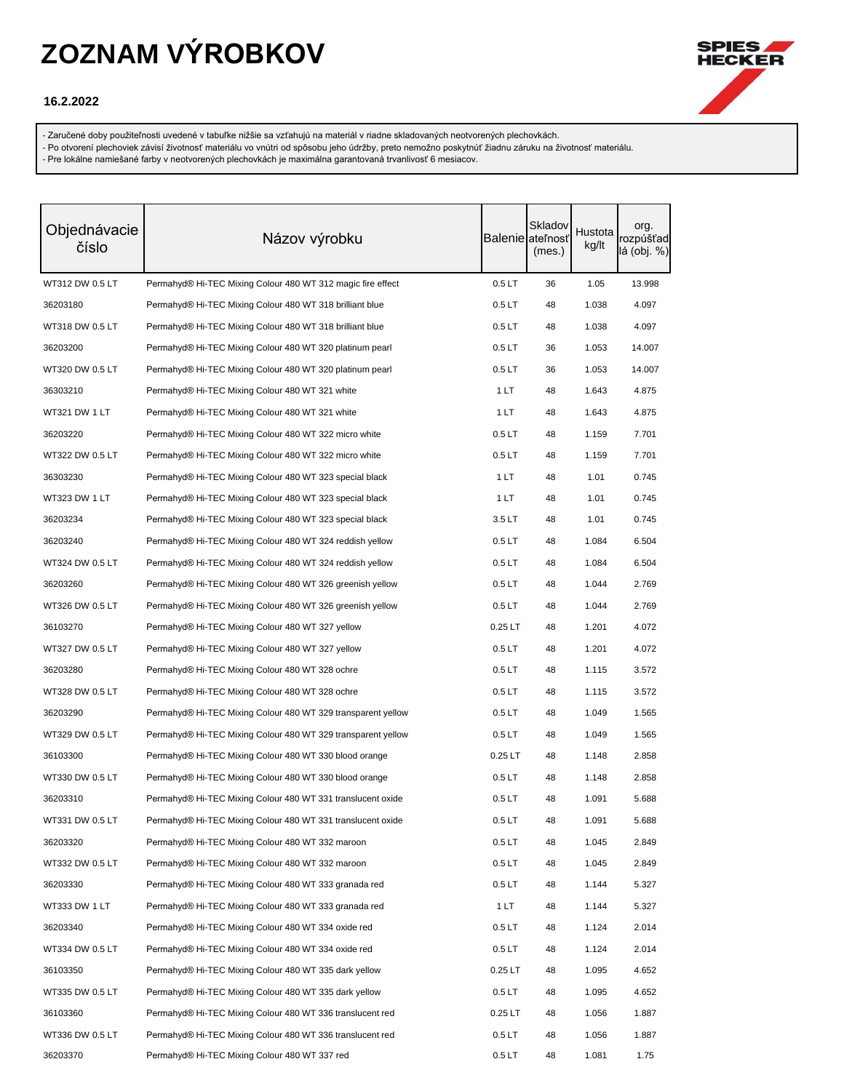

### **16.2.2022**

- Zaručené doby použiteľnosti uvedené v tabuľke nižšie sa vzťahujú na materiál v riadne skladovaných neotvorených plechovkách.

- Po otvorení plechoviek závisí životnosť materiálu vo vnútri od spôsobu jeho údržby, preto nemožno poskytnúť žiadnu záruku na životnosť materiálu.

| Objednávacie<br>číslo | Názov výrobku                                                |                   | Skladov<br><b>Balenie</b> ateľnosť<br>(mes.) | Hustota<br>kg/lt | org.<br>rozpúšťad<br>lá (obj. %) |
|-----------------------|--------------------------------------------------------------|-------------------|----------------------------------------------|------------------|----------------------------------|
| WT312 DW 0.5 LT       | Permahyd® Hi-TEC Mixing Colour 480 WT 312 magic fire effect  | 0.5LT             | 36                                           | 1.05             | 13.998                           |
| 36203180              | Permahyd® Hi-TEC Mixing Colour 480 WT 318 brilliant blue     | 0.5LT             | 48                                           | 1.038            | 4.097                            |
| WT318 DW 0.5 LT       | Permahyd® Hi-TEC Mixing Colour 480 WT 318 brilliant blue     | 0.5LT             | 48                                           | 1.038            | 4.097                            |
| 36203200              | Permahyd® Hi-TEC Mixing Colour 480 WT 320 platinum pearl     | 0.5LT             | 36                                           | 1.053            | 14.007                           |
| WT320 DW 0.5 LT       | Permahyd® Hi-TEC Mixing Colour 480 WT 320 platinum pearl     | 0.5LT             | 36                                           | 1.053            | 14.007                           |
| 36303210              | Permahyd® Hi-TEC Mixing Colour 480 WT 321 white              | 1 LT              | 48                                           | 1.643            | 4.875                            |
| WT321 DW 1 LT         | Permahyd® Hi-TEC Mixing Colour 480 WT 321 white              | 1 LT              | 48                                           | 1.643            | 4.875                            |
| 36203220              | Permahyd® Hi-TEC Mixing Colour 480 WT 322 micro white        | 0.5LT             | 48                                           | 1.159            | 7.701                            |
| WT322 DW 0.5 LT       | Permahyd® Hi-TEC Mixing Colour 480 WT 322 micro white        | 0.5LT             | 48                                           | 1.159            | 7.701                            |
| 36303230              | Permahyd® Hi-TEC Mixing Colour 480 WT 323 special black      | 1 LT              | 48                                           | 1.01             | 0.745                            |
| WT323 DW 1 LT         | Permahyd® Hi-TEC Mixing Colour 480 WT 323 special black      | 1 LT              | 48                                           | 1.01             | 0.745                            |
| 36203234              | Permahyd® Hi-TEC Mixing Colour 480 WT 323 special black      | 3.5LT             | 48                                           | 1.01             | 0.745                            |
| 36203240              | Permahyd® Hi-TEC Mixing Colour 480 WT 324 reddish yellow     | 0.5LT             | 48                                           | 1.084            | 6.504                            |
| WT324 DW 0.5 LT       | Permahyd® Hi-TEC Mixing Colour 480 WT 324 reddish yellow     | 0.5 <sub>LT</sub> | 48                                           | 1.084            | 6.504                            |
| 36203260              | Permahyd® Hi-TEC Mixing Colour 480 WT 326 greenish yellow    | 0.5 <sub>LT</sub> | 48                                           | 1.044            | 2.769                            |
| WT326 DW 0.5 LT       | Permahyd® Hi-TEC Mixing Colour 480 WT 326 greenish yellow    | 0.5 <sub>LT</sub> | 48                                           | 1.044            | 2.769                            |
| 36103270              | Permahyd® Hi-TEC Mixing Colour 480 WT 327 yellow             | $0.25$ LT         | 48                                           | 1.201            | 4.072                            |
| WT327 DW 0.5 LT       | Permahyd® Hi-TEC Mixing Colour 480 WT 327 yellow             | 0.5LT             | 48                                           | 1.201            | 4.072                            |
| 36203280              | Permahyd® Hi-TEC Mixing Colour 480 WT 328 ochre              | 0.5 <sub>LT</sub> | 48                                           | 1.115            | 3.572                            |
| WT328 DW 0.5 LT       | Permahyd® Hi-TEC Mixing Colour 480 WT 328 ochre              | 0.5 <sub>LT</sub> | 48                                           | 1.115            | 3.572                            |
| 36203290              | Permahyd® Hi-TEC Mixing Colour 480 WT 329 transparent yellow | 0.5 <sub>LT</sub> | 48                                           | 1.049            | 1.565                            |
| WT329 DW 0.5 LT       | Permahyd® Hi-TEC Mixing Colour 480 WT 329 transparent yellow | 0.5LT             | 48                                           | 1.049            | 1.565                            |
| 36103300              | Permahyd® Hi-TEC Mixing Colour 480 WT 330 blood orange       | $0.25$ LT         | 48                                           | 1.148            | 2.858                            |
| WT330 DW 0.5 LT       | Permahyd® Hi-TEC Mixing Colour 480 WT 330 blood orange       | 0.5 <sub>LT</sub> | 48                                           | 1.148            | 2.858                            |
| 36203310              | Permahyd® Hi-TEC Mixing Colour 480 WT 331 translucent oxide  | 0.5 <sub>LT</sub> | 48                                           | 1.091            | 5.688                            |
| WT331 DW 0.5 LT       | Permahyd® Hi-TEC Mixing Colour 480 WT 331 translucent oxide  | 0.5 <sub>LT</sub> | 48                                           | 1.091            | 5.688                            |
| 36203320              | Permahyd® Hi-TEC Mixing Colour 480 WT 332 maroon             | 0.5 <sub>LT</sub> | 48                                           | 1.045            | 2.849                            |
| WT332 DW 0.5 LT       | Permahyd® Hi-TEC Mixing Colour 480 WT 332 maroon             | 0.5 <sub>LT</sub> | 48                                           | 1.045            | 2.849                            |
| 36203330              | Permahyd® Hi-TEC Mixing Colour 480 WT 333 granada red        | 0.5 <sub>LT</sub> | 48                                           | 1.144            | 5.327                            |
| WT333 DW 1 LT         | Permahyd® Hi-TEC Mixing Colour 480 WT 333 granada red        | 1 LT              | 48                                           | 1.144            | 5.327                            |
| 36203340              | Permahyd® Hi-TEC Mixing Colour 480 WT 334 oxide red          | 0.5 <sub>LT</sub> | 48                                           | 1.124            | 2.014                            |
| WT334 DW 0.5 LT       | Permahyd® Hi-TEC Mixing Colour 480 WT 334 oxide red          | 0.5 <sub>LT</sub> | 48                                           | 1.124            | 2.014                            |
| 36103350              | Permahyd® Hi-TEC Mixing Colour 480 WT 335 dark yellow        | $0.25$ LT         | 48                                           | 1.095            | 4.652                            |
| WT335 DW 0.5 LT       | Permahyd® Hi-TEC Mixing Colour 480 WT 335 dark yellow        | 0.5LT             | 48                                           | 1.095            | 4.652                            |
| 36103360              | Permahyd® Hi-TEC Mixing Colour 480 WT 336 translucent red    | $0.25$ LT         | 48                                           | 1.056            | 1.887                            |
| WT336 DW 0.5 LT       | Permahyd® Hi-TEC Mixing Colour 480 WT 336 translucent red    | 0.5LT             | 48                                           | 1.056            | 1.887                            |
| 36203370              | Permahyd® Hi-TEC Mixing Colour 480 WT 337 red                | 0.5LT             | 48                                           | 1.081            | 1.75                             |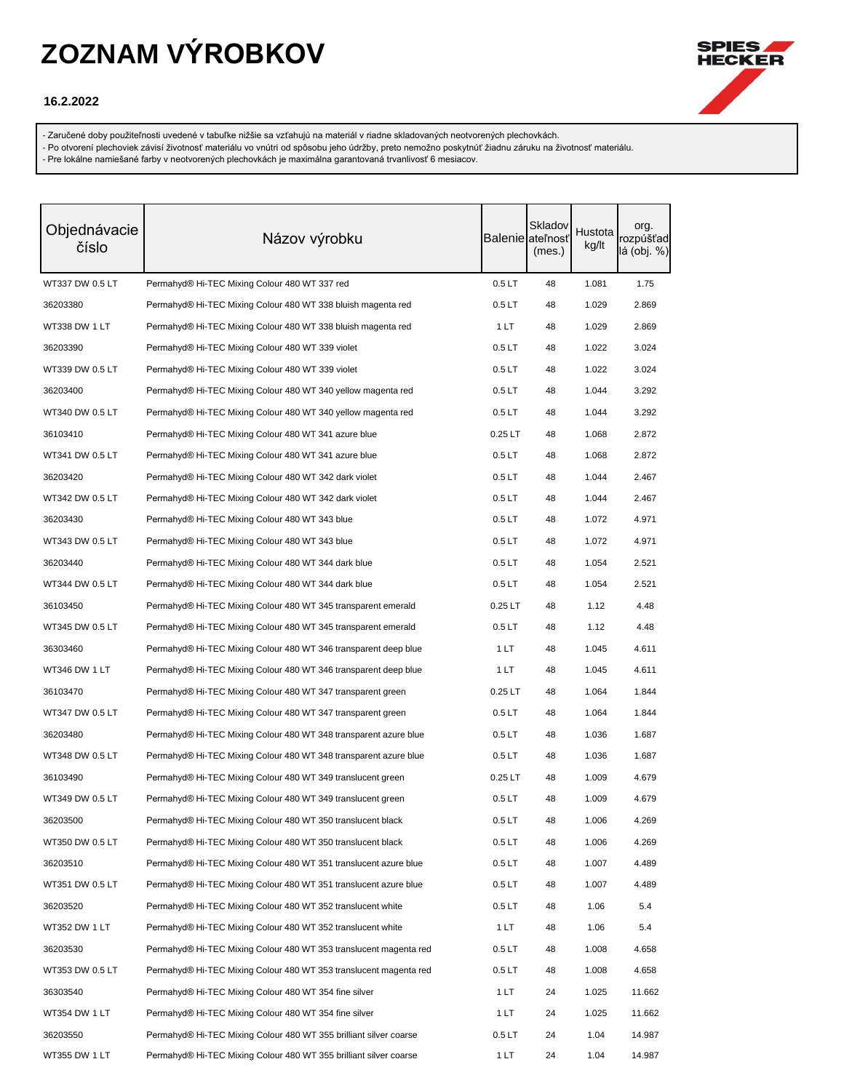

### **16.2.2022**

- Zaručené doby použiteľnosti uvedené v tabuľke nižšie sa vzťahujú na materiál v riadne skladovaných neotvorených plechovkách.

- Po otvorení plechoviek závisí životnosť materiálu vo vnútri od spôsobu jeho údržby, preto nemožno poskytnúť žiadnu záruku na životnosť materiálu.

| Objednávacie<br>číslo | Názov výrobku                                                     |                   | Skladov<br>Balenie ateľnosť<br>(mes.) | Hustota<br>kg/lt | org.<br>rozpúšťad<br>lá (obj. %) |
|-----------------------|-------------------------------------------------------------------|-------------------|---------------------------------------|------------------|----------------------------------|
| WT337 DW 0.5 LT       | Permahyd® Hi-TEC Mixing Colour 480 WT 337 red                     | 0.5LT             | 48                                    | 1.081            | 1.75                             |
| 36203380              | Permahyd® Hi-TEC Mixing Colour 480 WT 338 bluish magenta red      | 0.5LT             | 48                                    | 1.029            | 2.869                            |
| WT338 DW 1 LT         | Permahyd® Hi-TEC Mixing Colour 480 WT 338 bluish magenta red      | 1 LT              | 48                                    | 1.029            | 2.869                            |
| 36203390              | Permahyd® Hi-TEC Mixing Colour 480 WT 339 violet                  | 0.5LT             | 48                                    | 1.022            | 3.024                            |
| WT339 DW 0.5 LT       | Permahyd® Hi-TEC Mixing Colour 480 WT 339 violet                  | 0.5LT             | 48                                    | 1.022            | 3.024                            |
| 36203400              | Permahyd® Hi-TEC Mixing Colour 480 WT 340 yellow magenta red      | 0.5LT             | 48                                    | 1.044            | 3.292                            |
| WT340 DW 0.5 LT       | Permahyd® Hi-TEC Mixing Colour 480 WT 340 yellow magenta red      | 0.5LT             | 48                                    | 1.044            | 3.292                            |
| 36103410              | Permahyd® Hi-TEC Mixing Colour 480 WT 341 azure blue              | $0.25$ LT         | 48                                    | 1.068            | 2.872                            |
| WT341 DW 0.5 LT       | Permahyd® Hi-TEC Mixing Colour 480 WT 341 azure blue              | 0.5LT             | 48                                    | 1.068            | 2.872                            |
| 36203420              | Permahyd® Hi-TEC Mixing Colour 480 WT 342 dark violet             | 0.5LT             | 48                                    | 1.044            | 2.467                            |
| WT342 DW 0.5 LT       | Permahyd® Hi-TEC Mixing Colour 480 WT 342 dark violet             | 0.5LT             | 48                                    | 1.044            | 2.467                            |
| 36203430              | Permahyd® Hi-TEC Mixing Colour 480 WT 343 blue                    | 0.5LT             | 48                                    | 1.072            | 4.971                            |
| WT343 DW 0.5 LT       | Permahyd® Hi-TEC Mixing Colour 480 WT 343 blue                    | 0.5LT             | 48                                    | 1.072            | 4.971                            |
| 36203440              | Permahyd® Hi-TEC Mixing Colour 480 WT 344 dark blue               | 0.5LT             | 48                                    | 1.054            | 2.521                            |
| WT344 DW 0.5 LT       | Permahyd® Hi-TEC Mixing Colour 480 WT 344 dark blue               | 0.5LT             | 48                                    | 1.054            | 2.521                            |
| 36103450              | Permahyd® Hi-TEC Mixing Colour 480 WT 345 transparent emerald     | $0.25$ LT         | 48                                    | 1.12             | 4.48                             |
| WT345 DW 0.5 LT       | Permahyd® Hi-TEC Mixing Colour 480 WT 345 transparent emerald     | 0.5 <sub>LT</sub> | 48                                    | 1.12             | 4.48                             |
| 36303460              | Permahyd® Hi-TEC Mixing Colour 480 WT 346 transparent deep blue   | 1 LT              | 48                                    | 1.045            | 4.611                            |
| WT346 DW 1 LT         | Permahyd® Hi-TEC Mixing Colour 480 WT 346 transparent deep blue   | 1 LT              | 48                                    | 1.045            | 4.611                            |
| 36103470              | Permahyd® Hi-TEC Mixing Colour 480 WT 347 transparent green       | $0.25$ LT         | 48                                    | 1.064            | 1.844                            |
| WT347 DW 0.5 LT       | Permahyd® Hi-TEC Mixing Colour 480 WT 347 transparent green       | 0.5LT             | 48                                    | 1.064            | 1.844                            |
| 36203480              | Permahyd® Hi-TEC Mixing Colour 480 WT 348 transparent azure blue  | 0.5 <sub>LT</sub> | 48                                    | 1.036            | 1.687                            |
| WT348 DW 0.5 LT       | Permahyd® Hi-TEC Mixing Colour 480 WT 348 transparent azure blue  | 0.5 <sub>LT</sub> | 48                                    | 1.036            | 1.687                            |
| 36103490              | Permahyd® Hi-TEC Mixing Colour 480 WT 349 translucent green       | $0.25$ LT         | 48                                    | 1.009            | 4.679                            |
| WT349 DW 0.5 LT       | Permahyd® Hi-TEC Mixing Colour 480 WT 349 translucent green       | 0.5LT             | 48                                    | 1.009            | 4.679                            |
| 36203500              | Permahyd® Hi-TEC Mixing Colour 480 WT 350 translucent black       | 0.5 <sub>LT</sub> | 48                                    | 1.006            | 4.269                            |
| WT350 DW 0.5 LT       | Permahyd® Hi-TEC Mixing Colour 480 WT 350 translucent black       | 0.5 <sub>LT</sub> | 48                                    | 1.006            | 4.269                            |
| 36203510              | Permahyd® Hi-TEC Mixing Colour 480 WT 351 translucent azure blue  | 0.5 <sub>LT</sub> | 48                                    | 1.007            | 4.489                            |
| WT351 DW 0.5 LT       | Permahyd® Hi-TEC Mixing Colour 480 WT 351 translucent azure blue  | 0.5 <sub>LT</sub> | 48                                    | 1.007            | 4.489                            |
| 36203520              | Permahyd® Hi-TEC Mixing Colour 480 WT 352 translucent white       | 0.5LT             | 48                                    | 1.06             | 5.4                              |
| WT352 DW 1 LT         | Permahyd® Hi-TEC Mixing Colour 480 WT 352 translucent white       | 1 LT              | 48                                    | 1.06             | 5.4                              |
| 36203530              | Permahyd® Hi-TEC Mixing Colour 480 WT 353 translucent magenta red | 0.5 <sub>LT</sub> | 48                                    | 1.008            | 4.658                            |
| WT353 DW 0.5 LT       | Permahyd® Hi-TEC Mixing Colour 480 WT 353 translucent magenta red | 0.5 <sub>LT</sub> | 48                                    | 1.008            | 4.658                            |
| 36303540              | Permahyd® Hi-TEC Mixing Colour 480 WT 354 fine silver             | 1 LT              | 24                                    | 1.025            | 11.662                           |
| WT354 DW 1 LT         | Permahyd® Hi-TEC Mixing Colour 480 WT 354 fine silver             | 1 LT              | 24                                    | 1.025            | 11.662                           |
| 36203550              | Permahyd® Hi-TEC Mixing Colour 480 WT 355 brilliant silver coarse | 0.5 <sub>LT</sub> | 24                                    | 1.04             | 14.987                           |
| WT355 DW 1 LT         | Permahyd® Hi-TEC Mixing Colour 480 WT 355 brilliant silver coarse | 1 LT              | 24                                    | 1.04             | 14.987                           |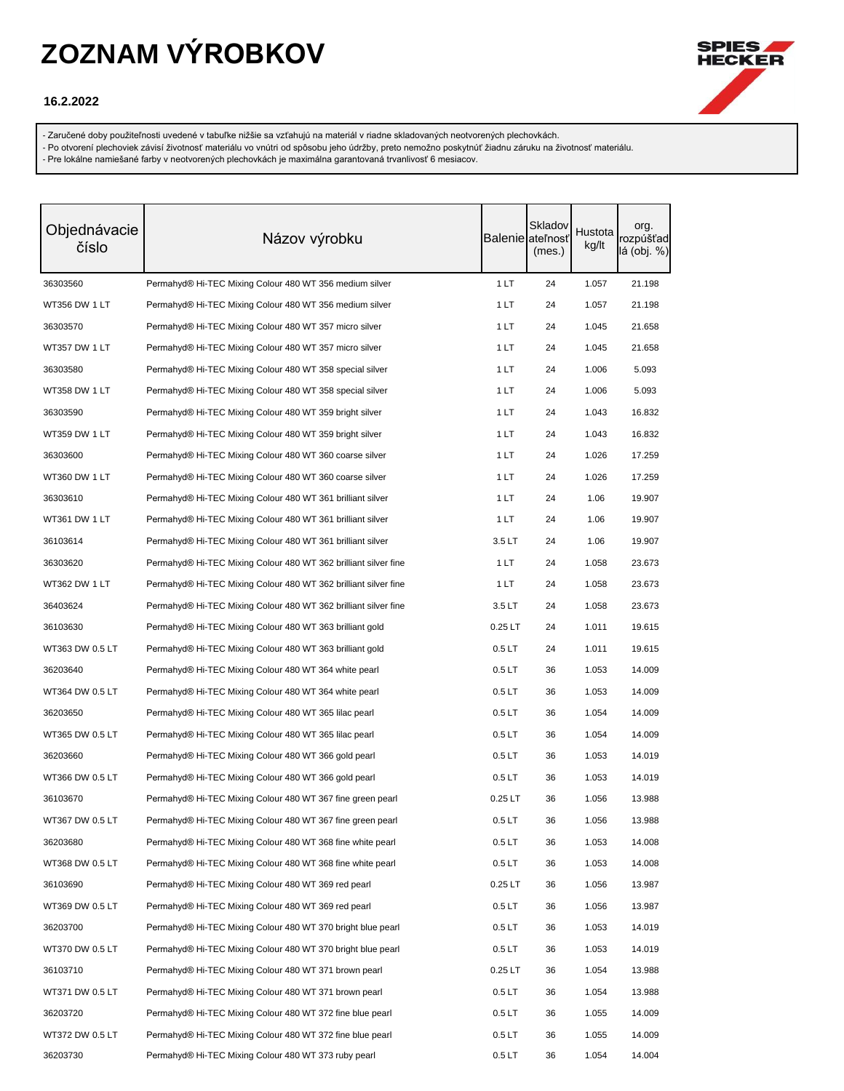

### **16.2.2022**

- Zaručené doby použiteľnosti uvedené v tabuľke nižšie sa vzťahujú na materiál v riadne skladovaných neotvorených plechovkách.

- Po otvorení plechoviek závisí životnosť materiálu vo vnútri od spôsobu jeho údržby, preto nemožno poskytnúť žiadnu záruku na životnosť materiálu.

| Objednávacie<br>číslo | Názov výrobku                                                   |                   | Skladov<br>Balenie ateľnosť<br>(mes.) | Hustota<br>kg/lt | org.<br>rozpúšťad<br>lá (obj. %) |
|-----------------------|-----------------------------------------------------------------|-------------------|---------------------------------------|------------------|----------------------------------|
| 36303560              | Permahyd® Hi-TEC Mixing Colour 480 WT 356 medium silver         | 1LT               | 24                                    | 1.057            | 21.198                           |
| WT356 DW 1 LT         | Permahyd® Hi-TEC Mixing Colour 480 WT 356 medium silver         | 1LT               | 24                                    | 1.057            | 21.198                           |
| 36303570              | Permahyd® Hi-TEC Mixing Colour 480 WT 357 micro silver          | 1 LT              | 24                                    | 1.045            | 21.658                           |
| WT357 DW 1 LT         | Permahyd® Hi-TEC Mixing Colour 480 WT 357 micro silver          | 1 LT              | 24                                    | 1.045            | 21.658                           |
| 36303580              | Permahyd® Hi-TEC Mixing Colour 480 WT 358 special silver        | 1 LT              | 24                                    | 1.006            | 5.093                            |
| WT358 DW 1 LT         | Permahyd® Hi-TEC Mixing Colour 480 WT 358 special silver        | 1 LT              | 24                                    | 1.006            | 5.093                            |
| 36303590              | Permahyd® Hi-TEC Mixing Colour 480 WT 359 bright silver         | 1 LT              | 24                                    | 1.043            | 16.832                           |
| WT359 DW 1 LT         | Permahyd® Hi-TEC Mixing Colour 480 WT 359 bright silver         | 1 LT              | 24                                    | 1.043            | 16.832                           |
| 36303600              | Permahyd® Hi-TEC Mixing Colour 480 WT 360 coarse silver         | 1 LT              | 24                                    | 1.026            | 17.259                           |
| WT360 DW 1 LT         | Permahyd® Hi-TEC Mixing Colour 480 WT 360 coarse silver         | 1 LT              | 24                                    | 1.026            | 17.259                           |
| 36303610              | Permahyd® Hi-TEC Mixing Colour 480 WT 361 brilliant silver      | 1 LT              | 24                                    | 1.06             | 19.907                           |
| WT361 DW 1 LT         | Permahyd® Hi-TEC Mixing Colour 480 WT 361 brilliant silver      | 1 LT              | 24                                    | 1.06             | 19.907                           |
| 36103614              | Permahyd® Hi-TEC Mixing Colour 480 WT 361 brilliant silver      | 3.5LT             | 24                                    | 1.06             | 19.907                           |
| 36303620              | Permahyd® Hi-TEC Mixing Colour 480 WT 362 brilliant silver fine | 1 LT              | 24                                    | 1.058            | 23.673                           |
| WT362 DW 1 LT         | Permahyd® Hi-TEC Mixing Colour 480 WT 362 brilliant silver fine | 1 LT              | 24                                    | 1.058            | 23.673                           |
| 36403624              | Permahyd® Hi-TEC Mixing Colour 480 WT 362 brilliant silver fine | 3.5LT             | 24                                    | 1.058            | 23.673                           |
| 36103630              | Permahyd® Hi-TEC Mixing Colour 480 WT 363 brilliant gold        | $0.25$ LT         | 24                                    | 1.011            | 19.615                           |
| WT363 DW 0.5 LT       | Permahyd® Hi-TEC Mixing Colour 480 WT 363 brilliant gold        | 0.5 <sub>LT</sub> | 24                                    | 1.011            | 19.615                           |
| 36203640              | Permahyd® Hi-TEC Mixing Colour 480 WT 364 white pearl           | 0.5 <sub>LT</sub> | 36                                    | 1.053            | 14.009                           |
| WT364 DW 0.5 LT       | Permahyd® Hi-TEC Mixing Colour 480 WT 364 white pearl           | 0.5LT             | 36                                    | 1.053            | 14.009                           |
| 36203650              | Permahyd® Hi-TEC Mixing Colour 480 WT 365 lilac pearl           | 0.5 <sub>LT</sub> | 36                                    | 1.054            | 14.009                           |
| WT365 DW 0.5 LT       | Permahyd® Hi-TEC Mixing Colour 480 WT 365 lilac pearl           | 0.5LT             | 36                                    | 1.054            | 14.009                           |
| 36203660              | Permahyd® Hi-TEC Mixing Colour 480 WT 366 gold pearl            | 0.5 <sub>LT</sub> | 36                                    | 1.053            | 14.019                           |
| WT366 DW 0.5 LT       | Permahyd® Hi-TEC Mixing Colour 480 WT 366 gold pearl            | 0.5 <sub>LT</sub> | 36                                    | 1.053            | 14.019                           |
| 36103670              | Permahyd® Hi-TEC Mixing Colour 480 WT 367 fine green pearl      | $0.25$ LT         | 36                                    | 1.056            | 13.988                           |
| WT367 DW 0.5 LT       | Permahyd® Hi-TEC Mixing Colour 480 WT 367 fine green pearl      | 0.5 <sub>LT</sub> | 36                                    | 1.056            | 13.988                           |
| 36203680              | Permahyd® Hi-TEC Mixing Colour 480 WT 368 fine white pearl      | 0.5 <sub>LT</sub> | 36                                    | 1.053            | 14.008                           |
| WT368 DW 0.5 LT       | Permahyd® Hi-TEC Mixing Colour 480 WT 368 fine white pearl      | 0.5 <sub>LT</sub> | 36                                    | 1.053            | 14.008                           |
| 36103690              | Permahyd® Hi-TEC Mixing Colour 480 WT 369 red pearl             | $0.25$ LT         | 36                                    | 1.056            | 13.987                           |
| WT369 DW 0.5 LT       | Permahyd® Hi-TEC Mixing Colour 480 WT 369 red pearl             | 0.5LT             | 36                                    | 1.056            | 13.987                           |
| 36203700              | Permahyd® Hi-TEC Mixing Colour 480 WT 370 bright blue pearl     | 0.5 <sub>LT</sub> | 36                                    | 1.053            | 14.019                           |
| WT370 DW 0.5 LT       | Permahyd® Hi-TEC Mixing Colour 480 WT 370 bright blue pearl     | 0.5LT             | 36                                    | 1.053            | 14.019                           |
| 36103710              | Permahyd® Hi-TEC Mixing Colour 480 WT 371 brown pearl           | $0.25$ LT         | 36                                    | 1.054            | 13.988                           |
| WT371 DW 0.5 LT       | Permahyd® Hi-TEC Mixing Colour 480 WT 371 brown pearl           | 0.5LT             | 36                                    | 1.054            | 13.988                           |
| 36203720              | Permahyd® Hi-TEC Mixing Colour 480 WT 372 fine blue pearl       | 0.5 <sub>LT</sub> | 36                                    | 1.055            | 14.009                           |
| WT372 DW 0.5 LT       | Permahyd® Hi-TEC Mixing Colour 480 WT 372 fine blue pearl       | 0.5LT             | 36                                    | 1.055            | 14.009                           |
| 36203730              | Permahyd® Hi-TEC Mixing Colour 480 WT 373 ruby pearl            | 0.5 <sub>LT</sub> | 36                                    | 1.054            | 14.004                           |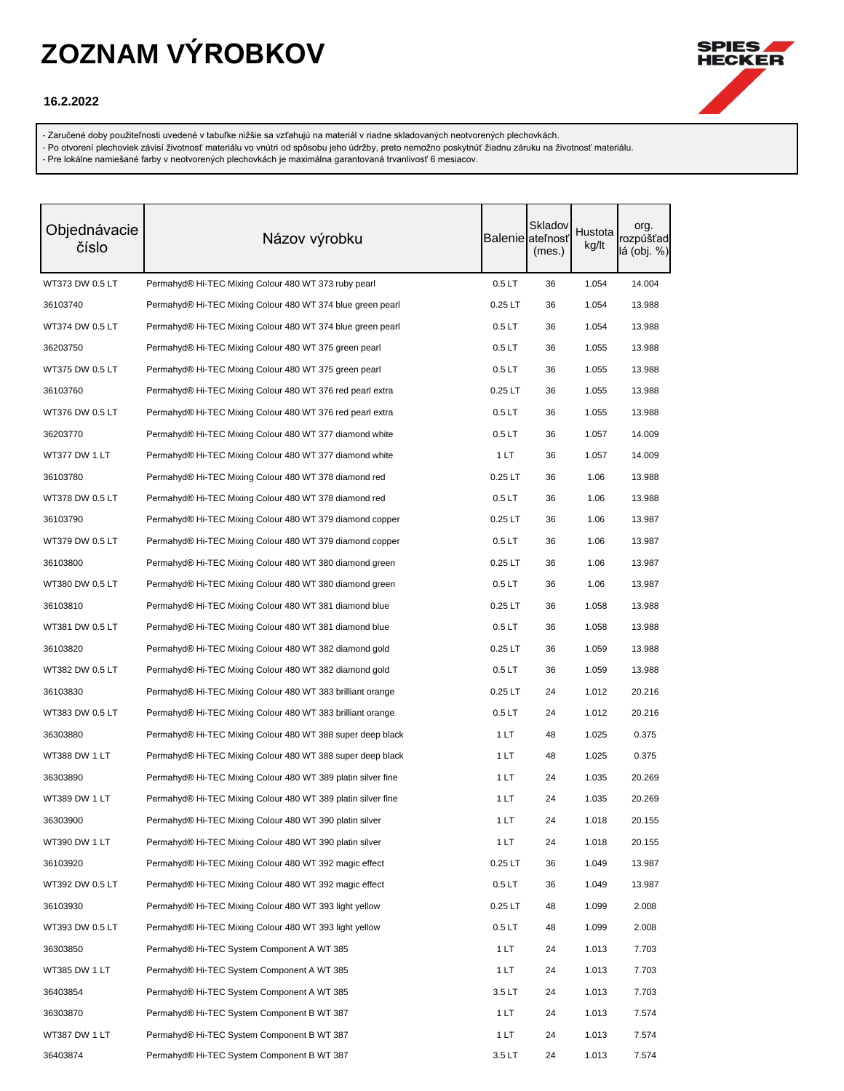

### **16.2.2022**

- Zaručené doby použiteľnosti uvedené v tabuľke nižšie sa vzťahujú na materiál v riadne skladovaných neotvorených plechovkách.

- Po otvorení plechoviek závisí životnosť materiálu vo vnútri od spôsobu jeho údržby, preto nemožno poskytnúť žiadnu záruku na životnosť materiálu.

| Objednávacie<br>číslo | Názov výrobku                                                |                   | Skladov<br>Balenie ateľnosť<br>(mes.) | Hustota<br>kg/lt | org.<br>rozpúšťad<br>lá (obj. %) |
|-----------------------|--------------------------------------------------------------|-------------------|---------------------------------------|------------------|----------------------------------|
| WT373 DW 0.5 LT       | Permahyd® Hi-TEC Mixing Colour 480 WT 373 ruby pearl         | 0.5LT             | 36                                    | 1.054            | 14.004                           |
| 36103740              | Permahyd® Hi-TEC Mixing Colour 480 WT 374 blue green pearl   | $0.25$ LT         | 36                                    | 1.054            | 13.988                           |
| WT374 DW 0.5 LT       | Permahyd® Hi-TEC Mixing Colour 480 WT 374 blue green pearl   | 0.5LT             | 36                                    | 1.054            | 13.988                           |
| 36203750              | Permahyd® Hi-TEC Mixing Colour 480 WT 375 green pearl        | 0.5LT             | 36                                    | 1.055            | 13.988                           |
| WT375 DW 0.5 LT       | Permahyd® Hi-TEC Mixing Colour 480 WT 375 green pearl        | 0.5LT             | 36                                    | 1.055            | 13.988                           |
| 36103760              | Permahyd® Hi-TEC Mixing Colour 480 WT 376 red pearl extra    | $0.25$ LT         | 36                                    | 1.055            | 13.988                           |
| WT376 DW 0.5 LT       | Permahyd® Hi-TEC Mixing Colour 480 WT 376 red pearl extra    | 0.5LT             | 36                                    | 1.055            | 13.988                           |
| 36203770              | Permahyd® Hi-TEC Mixing Colour 480 WT 377 diamond white      | 0.5LT             | 36                                    | 1.057            | 14.009                           |
| WT377 DW 1 LT         | Permahyd® Hi-TEC Mixing Colour 480 WT 377 diamond white      | 1LT               | 36                                    | 1.057            | 14.009                           |
| 36103780              | Permahyd® Hi-TEC Mixing Colour 480 WT 378 diamond red        | $0.25$ LT         | 36                                    | 1.06             | 13.988                           |
| WT378 DW 0.5 LT       | Permahyd® Hi-TEC Mixing Colour 480 WT 378 diamond red        | 0.5LT             | 36                                    | 1.06             | 13.988                           |
| 36103790              | Permahyd® Hi-TEC Mixing Colour 480 WT 379 diamond copper     | $0.25$ LT         | 36                                    | 1.06             | 13.987                           |
| WT379 DW 0.5 LT       | Permahyd® Hi-TEC Mixing Colour 480 WT 379 diamond copper     | 0.5LT             | 36                                    | 1.06             | 13.987                           |
| 36103800              | Permahyd® Hi-TEC Mixing Colour 480 WT 380 diamond green      | $0.25$ LT         | 36                                    | 1.06             | 13.987                           |
| WT380 DW 0.5 LT       | Permahyd® Hi-TEC Mixing Colour 480 WT 380 diamond green      | 0.5LT             | 36                                    | 1.06             | 13.987                           |
| 36103810              | Permahyd® Hi-TEC Mixing Colour 480 WT 381 diamond blue       | $0.25$ LT         | 36                                    | 1.058            | 13.988                           |
| WT381 DW 0.5 LT       | Permahyd® Hi-TEC Mixing Colour 480 WT 381 diamond blue       | 0.5LT             | 36                                    | 1.058            | 13.988                           |
| 36103820              | Permahyd® Hi-TEC Mixing Colour 480 WT 382 diamond gold       | $0.25$ LT         | 36                                    | 1.059            | 13.988                           |
| WT382 DW 0.5 LT       | Permahyd® Hi-TEC Mixing Colour 480 WT 382 diamond gold       | 0.5 <sub>LT</sub> | 36                                    | 1.059            | 13.988                           |
| 36103830              | Permahyd® Hi-TEC Mixing Colour 480 WT 383 brilliant orange   | $0.25$ LT         | 24                                    | 1.012            | 20.216                           |
| WT383 DW 0.5 LT       | Permahyd® Hi-TEC Mixing Colour 480 WT 383 brilliant orange   | 0.5LT             | 24                                    | 1.012            | 20.216                           |
| 36303880              | Permahyd® Hi-TEC Mixing Colour 480 WT 388 super deep black   | 1 LT              | 48                                    | 1.025            | 0.375                            |
| WT388 DW 1 LT         | Permahyd® Hi-TEC Mixing Colour 480 WT 388 super deep black   | 1 LT              | 48                                    | 1.025            | 0.375                            |
| 36303890              | Permahyd® Hi-TEC Mixing Colour 480 WT 389 platin silver fine | 1 LT              | 24                                    | 1.035            | 20.269                           |
| WT389 DW 1 LT         | Permahyd® Hi-TEC Mixing Colour 480 WT 389 platin silver fine | 1 LT              | 24                                    | 1.035            | 20.269                           |
| 36303900              | Permahyd® Hi-TEC Mixing Colour 480 WT 390 platin silver      | 1 LT              | 24                                    | 1.018            | 20.155                           |
| WT390 DW 1 LT         | Permahyd® Hi-TEC Mixing Colour 480 WT 390 platin silver      | 1LT               | 24                                    | 1.018            | 20.155                           |
| 36103920              | Permahyd® Hi-TEC Mixing Colour 480 WT 392 magic effect       | $0.25$ LT         | 36                                    | 1.049            | 13.987                           |
| WT392 DW 0.5 LT       | Permahyd® Hi-TEC Mixing Colour 480 WT 392 magic effect       | 0.5LT             | 36                                    | 1.049            | 13.987                           |
| 36103930              | Permahyd® Hi-TEC Mixing Colour 480 WT 393 light yellow       | $0.25$ LT         | 48                                    | 1.099            | 2.008                            |
| WT393 DW 0.5 LT       | Permahyd® Hi-TEC Mixing Colour 480 WT 393 light yellow       | 0.5LT             | 48                                    | 1.099            | 2.008                            |
| 36303850              | Permahyd® Hi-TEC System Component A WT 385                   | 1 LT              | 24                                    | 1.013            | 7.703                            |
| WT385 DW 1 LT         | Permahyd® Hi-TEC System Component A WT 385                   | 1 LT              | 24                                    | 1.013            | 7.703                            |
| 36403854              | Permahyd® Hi-TEC System Component A WT 385                   | 3.5LT             | 24                                    | 1.013            | 7.703                            |
| 36303870              | Permahyd® Hi-TEC System Component B WT 387                   | 1 LT              | 24                                    | 1.013            | 7.574                            |
| WT387 DW 1 LT         | Permahyd® Hi-TEC System Component B WT 387                   | 1LT               | 24                                    | 1.013            | 7.574                            |
| 36403874              | Permahyd® Hi-TEC System Component B WT 387                   | 3.5LT             | 24                                    | 1.013            | 7.574                            |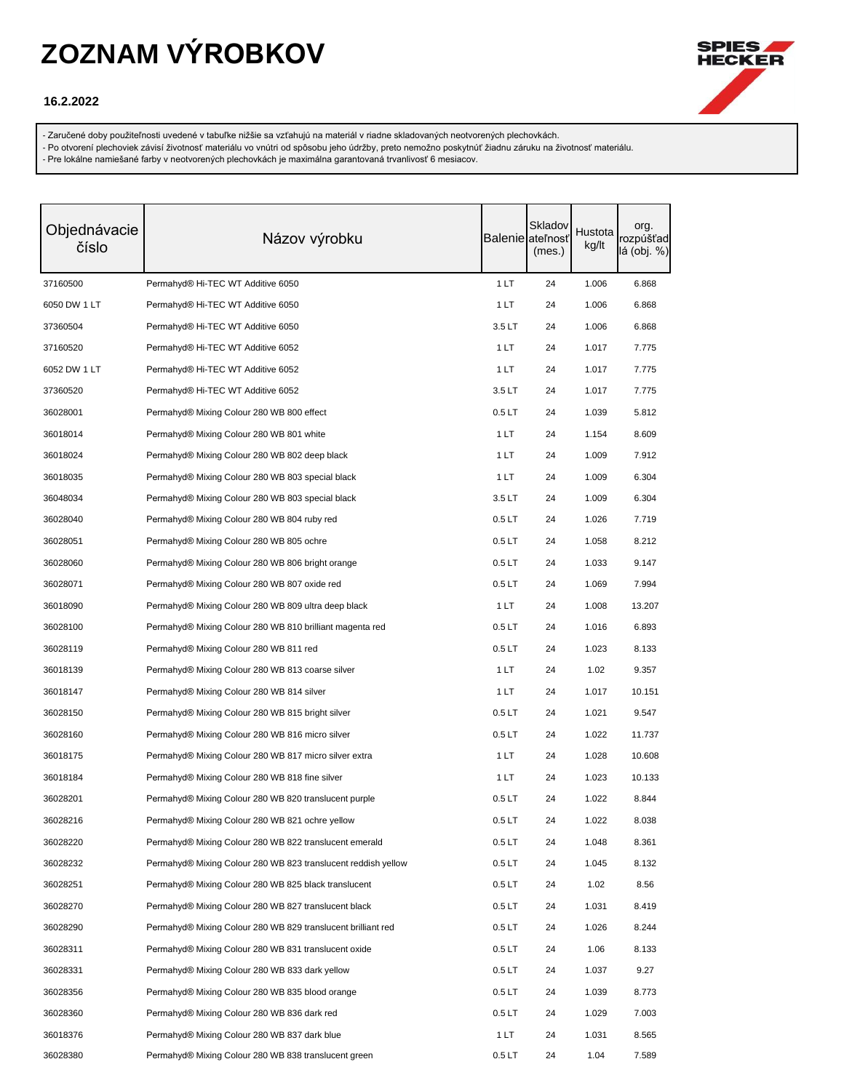

### **16.2.2022**

- Zaručené doby použiteľnosti uvedené v tabuľke nižšie sa vzťahujú na materiál v riadne skladovaných neotvorených plechovkách.

- Po otvorení plechoviek závisí životnosť materiálu vo vnútri od spôsobu jeho údržby, preto nemožno poskytnúť žiadnu záruku na životnosť materiálu.

| Objednávacie<br>číslo | Názov výrobku                                                 |                   | Skladov<br>Balenie ateľnosť<br>(mes.) | Hustota<br>kg/lt | org.<br>rozpúšťad<br>lá (obj. %) |
|-----------------------|---------------------------------------------------------------|-------------------|---------------------------------------|------------------|----------------------------------|
| 37160500              | Permahyd® Hi-TEC WT Additive 6050                             | 1LT               | 24                                    | 1.006            | 6.868                            |
| 6050 DW 1 LT          | Permahyd <sup>®</sup> Hi-TEC WT Additive 6050                 | 1LT               | 24                                    | 1.006            | 6.868                            |
| 37360504              | Permahyd <sup>®</sup> Hi-TEC WT Additive 6050                 | 3.5LT             | 24                                    | 1.006            | 6.868                            |
| 37160520              | Permahyd® Hi-TEC WT Additive 6052                             | 1 LT              | 24                                    | 1.017            | 7.775                            |
| 6052 DW 1 LT          | Permahyd® Hi-TEC WT Additive 6052                             | 1 LT              | 24                                    | 1.017            | 7.775                            |
| 37360520              | Permahyd® Hi-TEC WT Additive 6052                             | 3.5LT             | 24                                    | 1.017            | 7.775                            |
| 36028001              | Permahyd® Mixing Colour 280 WB 800 effect                     | 0.5LT             | 24                                    | 1.039            | 5.812                            |
| 36018014              | Permahyd® Mixing Colour 280 WB 801 white                      | 1 LT              | 24                                    | 1.154            | 8.609                            |
| 36018024              | Permahyd® Mixing Colour 280 WB 802 deep black                 | 1 LT              | 24                                    | 1.009            | 7.912                            |
| 36018035              | Permahyd® Mixing Colour 280 WB 803 special black              | 1 LT              | 24                                    | 1.009            | 6.304                            |
| 36048034              | Permahyd® Mixing Colour 280 WB 803 special black              | 3.5LT             | 24                                    | 1.009            | 6.304                            |
| 36028040              | Permahyd® Mixing Colour 280 WB 804 ruby red                   | 0.5 <sub>LT</sub> | 24                                    | 1.026            | 7.719                            |
| 36028051              | Permahyd® Mixing Colour 280 WB 805 ochre                      | 0.5 <sub>LT</sub> | 24                                    | 1.058            | 8.212                            |
| 36028060              | Permahyd® Mixing Colour 280 WB 806 bright orange              | 0.5 <sub>LT</sub> | 24                                    | 1.033            | 9.147                            |
| 36028071              | Permahyd® Mixing Colour 280 WB 807 oxide red                  | 0.5LT             | 24                                    | 1.069            | 7.994                            |
| 36018090              | Permahyd® Mixing Colour 280 WB 809 ultra deep black           | 1 LT              | 24                                    | 1.008            | 13.207                           |
| 36028100              | Permahyd® Mixing Colour 280 WB 810 brilliant magenta red      | 0.5 <sub>LT</sub> | 24                                    | 1.016            | 6.893                            |
| 36028119              | Permahyd® Mixing Colour 280 WB 811 red                        | 0.5 <sub>LT</sub> | 24                                    | 1.023            | 8.133                            |
| 36018139              | Permahyd® Mixing Colour 280 WB 813 coarse silver              | 1 LT              | 24                                    | 1.02             | 9.357                            |
| 36018147              | Permahyd® Mixing Colour 280 WB 814 silver                     | 1 LT              | 24                                    | 1.017            | 10.151                           |
| 36028150              | Permahyd® Mixing Colour 280 WB 815 bright silver              | 0.5 <sub>LT</sub> | 24                                    | 1.021            | 9.547                            |
| 36028160              | Permahyd® Mixing Colour 280 WB 816 micro silver               | 0.5 <sub>LT</sub> | 24                                    | 1.022            | 11.737                           |
| 36018175              | Permahyd® Mixing Colour 280 WB 817 micro silver extra         | 1 LT              | 24                                    | 1.028            | 10.608                           |
| 36018184              | Permahyd® Mixing Colour 280 WB 818 fine silver                | 1 LT              | 24                                    | 1.023            | 10.133                           |
| 36028201              | Permahyd® Mixing Colour 280 WB 820 translucent purple         | 0.5 <sub>LT</sub> | 24                                    | 1.022            | 8.844                            |
| 36028216              | Permahyd® Mixing Colour 280 WB 821 ochre yellow               | 0.5 <sub>LT</sub> | 24                                    | 1.022            | 8.038                            |
| 36028220              | Permahyd® Mixing Colour 280 WB 822 translucent emerald        | 0.5LT             | 24                                    | 1.048            | 8.361                            |
| 36028232              | Permahyd® Mixing Colour 280 WB 823 translucent reddish yellow | 0.5LT             | 24                                    | 1.045            | 8.132                            |
| 36028251              | Permahyd® Mixing Colour 280 WB 825 black translucent          | 0.5LT             | 24                                    | 1.02             | 8.56                             |
| 36028270              | Permahyd® Mixing Colour 280 WB 827 translucent black          | 0.5LT             | 24                                    | 1.031            | 8.419                            |
| 36028290              | Permahyd® Mixing Colour 280 WB 829 translucent brilliant red  | 0.5LT             | 24                                    | 1.026            | 8.244                            |
| 36028311              | Permahyd® Mixing Colour 280 WB 831 translucent oxide          | 0.5LT             | 24                                    | 1.06             | 8.133                            |
| 36028331              | Permahyd® Mixing Colour 280 WB 833 dark yellow                | 0.5LT             | 24                                    | 1.037            | 9.27                             |
| 36028356              | Permahyd® Mixing Colour 280 WB 835 blood orange               | 0.5 <sub>LT</sub> | 24                                    | 1.039            | 8.773                            |
| 36028360              | Permahyd® Mixing Colour 280 WB 836 dark red                   | 0.5LT             | 24                                    | 1.029            | 7.003                            |
| 36018376              | Permahyd® Mixing Colour 280 WB 837 dark blue                  | 1 LT              | 24                                    | 1.031            | 8.565                            |
| 36028380              | Permahyd® Mixing Colour 280 WB 838 translucent green          | 0.5LT             | 24                                    | 1.04             | 7.589                            |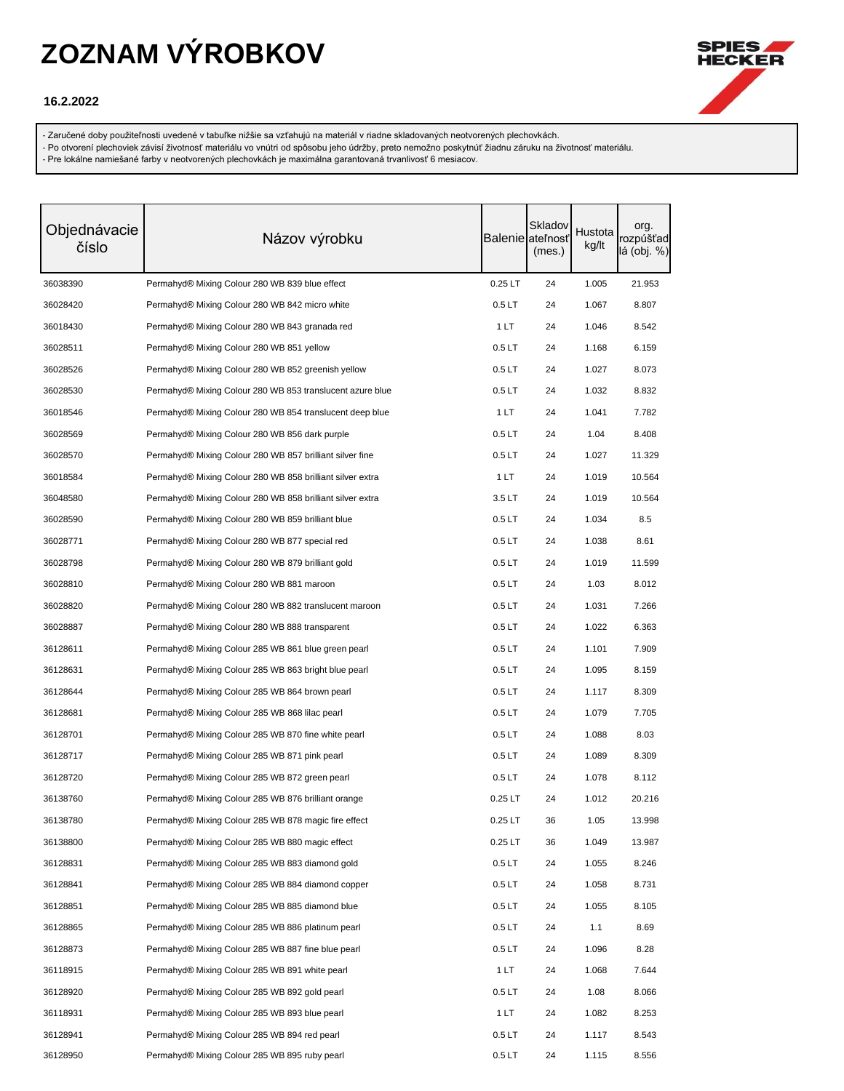

### **16.2.2022**

- Zaručené doby použiteľnosti uvedené v tabuľke nižšie sa vzťahujú na materiál v riadne skladovaných neotvorených plechovkách.

- Po otvorení plechoviek závisí životnosť materiálu vo vnútri od spôsobu jeho údržby, preto nemožno poskytnúť žiadnu záruku na životnosť materiálu.

| Objednávacie<br>číslo | Názov výrobku                                             |                   | Skladov<br>Balenie ateľnosť<br>(mes.) | Hustota<br>kg/lt | org.<br>rozpúšťad<br>lá (obj. %) |
|-----------------------|-----------------------------------------------------------|-------------------|---------------------------------------|------------------|----------------------------------|
| 36038390              | Permahyd® Mixing Colour 280 WB 839 blue effect            | $0.25$ LT         | 24                                    | 1.005            | 21.953                           |
| 36028420              | Permahyd® Mixing Colour 280 WB 842 micro white            | 0.5 <sub>LT</sub> | 24                                    | 1.067            | 8.807                            |
| 36018430              | Permahyd® Mixing Colour 280 WB 843 granada red            | 1 LT              | 24                                    | 1.046            | 8.542                            |
| 36028511              | Permahyd® Mixing Colour 280 WB 851 yellow                 | 0.5 <sub>LT</sub> | 24                                    | 1.168            | 6.159                            |
| 36028526              | Permahyd® Mixing Colour 280 WB 852 greenish yellow        | 0.5 <sub>LT</sub> | 24                                    | 1.027            | 8.073                            |
| 36028530              | Permahyd® Mixing Colour 280 WB 853 translucent azure blue | 0.5 <sub>LT</sub> | 24                                    | 1.032            | 8.832                            |
| 36018546              | Permahyd® Mixing Colour 280 WB 854 translucent deep blue  | 1 LT              | 24                                    | 1.041            | 7.782                            |
| 36028569              | Permahyd® Mixing Colour 280 WB 856 dark purple            | 0.5 <sub>LT</sub> | 24                                    | 1.04             | 8.408                            |
| 36028570              | Permahyd® Mixing Colour 280 WB 857 brilliant silver fine  | 0.5 <sub>LT</sub> | 24                                    | 1.027            | 11.329                           |
| 36018584              | Permahyd® Mixing Colour 280 WB 858 brilliant silver extra | 1 LT              | 24                                    | 1.019            | 10.564                           |
| 36048580              | Permahyd® Mixing Colour 280 WB 858 brilliant silver extra | 3.5LT             | 24                                    | 1.019            | 10.564                           |
| 36028590              | Permahyd® Mixing Colour 280 WB 859 brilliant blue         | 0.5 <sub>LT</sub> | 24                                    | 1.034            | 8.5                              |
| 36028771              | Permahyd® Mixing Colour 280 WB 877 special red            | 0.5 <sub>LT</sub> | 24                                    | 1.038            | 8.61                             |
| 36028798              | Permahyd® Mixing Colour 280 WB 879 brilliant gold         | 0.5 <sub>LT</sub> | 24                                    | 1.019            | 11.599                           |
| 36028810              | Permahyd® Mixing Colour 280 WB 881 maroon                 | 0.5 <sub>LT</sub> | 24                                    | 1.03             | 8.012                            |
| 36028820              | Permahyd® Mixing Colour 280 WB 882 translucent maroon     | 0.5 <sub>LT</sub> | 24                                    | 1.031            | 7.266                            |
| 36028887              | Permahyd® Mixing Colour 280 WB 888 transparent            | 0.5 <sub>LT</sub> | 24                                    | 1.022            | 6.363                            |
| 36128611              | Permahyd® Mixing Colour 285 WB 861 blue green pearl       | 0.5 <sub>LT</sub> | 24                                    | 1.101            | 7.909                            |
| 36128631              | Permahyd® Mixing Colour 285 WB 863 bright blue pearl      | 0.5 <sub>LT</sub> | 24                                    | 1.095            | 8.159                            |
| 36128644              | Permahyd® Mixing Colour 285 WB 864 brown pearl            | 0.5 <sub>LT</sub> | 24                                    | 1.117            | 8.309                            |
| 36128681              | Permahyd® Mixing Colour 285 WB 868 lilac pearl            | 0.5 <sub>LT</sub> | 24                                    | 1.079            | 7.705                            |
| 36128701              | Permahyd® Mixing Colour 285 WB 870 fine white pearl       | 0.5 <sub>LT</sub> | 24                                    | 1.088            | 8.03                             |
| 36128717              | Permahyd® Mixing Colour 285 WB 871 pink pearl             | 0.5LT             | 24                                    | 1.089            | 8.309                            |
| 36128720              | Permahyd® Mixing Colour 285 WB 872 green pearl            | 0.5 <sub>LT</sub> | 24                                    | 1.078            | 8.112                            |
| 36138760              | Permahyd® Mixing Colour 285 WB 876 brilliant orange       | $0.25$ LT         | 24                                    | 1.012            | 20.216                           |
| 36138780              | Permahyd® Mixing Colour 285 WB 878 magic fire effect      | $0.25$ LT         | 36                                    | 1.05             | 13.998                           |
| 36138800              | Permahyd® Mixing Colour 285 WB 880 magic effect           | $0.25$ LT         | 36                                    | 1.049            | 13.987                           |
| 36128831              | Permahyd® Mixing Colour 285 WB 883 diamond gold           | 0.5LT             | 24                                    | 1.055            | 8.246                            |
| 36128841              | Permahyd® Mixing Colour 285 WB 884 diamond copper         | 0.5 <sub>LT</sub> | 24                                    | 1.058            | 8.731                            |
| 36128851              | Permahyd® Mixing Colour 285 WB 885 diamond blue           | 0.5 <sub>LT</sub> | 24                                    | 1.055            | 8.105                            |
| 36128865              | Permahyd® Mixing Colour 285 WB 886 platinum pearl         | 0.5 <sub>LT</sub> | 24                                    | 1.1              | 8.69                             |
| 36128873              | Permahyd® Mixing Colour 285 WB 887 fine blue pearl        | 0.5 <sub>LT</sub> | 24                                    | 1.096            | 8.28                             |
| 36118915              | Permahyd® Mixing Colour 285 WB 891 white pearl            | 1 LT              | 24                                    | 1.068            | 7.644                            |
| 36128920              | Permahyd® Mixing Colour 285 WB 892 gold pearl             | 0.5 <sub>LT</sub> | 24                                    | 1.08             | 8.066                            |
| 36118931              | Permahyd® Mixing Colour 285 WB 893 blue pearl             | 1 LT              | 24                                    | 1.082            | 8.253                            |
| 36128941              | Permahyd® Mixing Colour 285 WB 894 red pearl              | 0.5 <sub>LT</sub> | 24                                    | 1.117            | 8.543                            |
| 36128950              | Permahyd® Mixing Colour 285 WB 895 ruby pearl             | 0.5 <sub>LT</sub> | 24                                    | 1.115            | 8.556                            |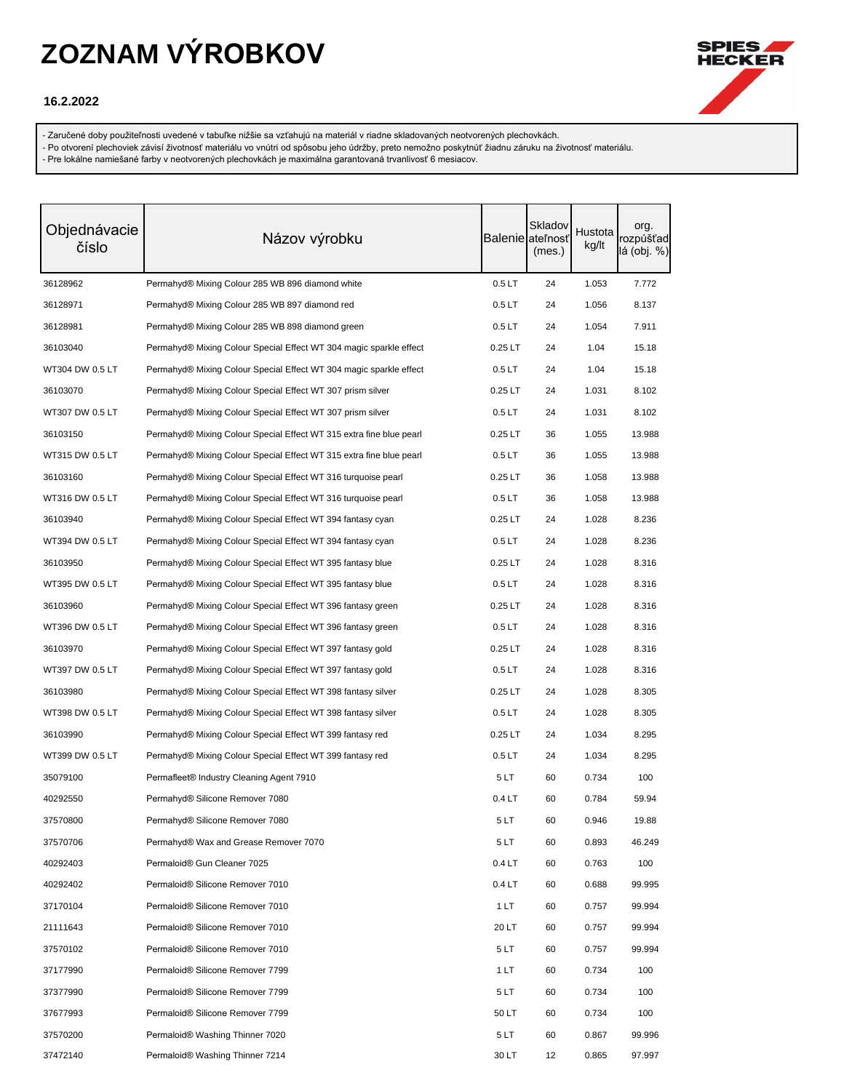

#### **16.2.2022**

- Zaručené doby použiteľnosti uvedené v tabuľke nižšie sa vzťahujú na materiál v riadne skladovaných neotvorených plechovkách.

- Po otvorení plechoviek závisí životnosť materiálu vo vnútri od spôsobu jeho údržby, preto nemožno poskytnúť žiadnu záruku na životnosť materiálu.

| Objednávacie<br>číslo | Názov výrobku                                                       |                   | Skladov<br>Balenie ateľnosť<br>(mes.) | Hustota<br>kg/lt | org.<br>rozpúšťad<br>lá (obj. %) |
|-----------------------|---------------------------------------------------------------------|-------------------|---------------------------------------|------------------|----------------------------------|
| 36128962              | Permahyd® Mixing Colour 285 WB 896 diamond white                    | 0.5LT             | 24                                    | 1.053            | 7.772                            |
| 36128971              | Permahyd® Mixing Colour 285 WB 897 diamond red                      | 0.5LT             | 24                                    | 1.056            | 8.137                            |
| 36128981              | Permahyd® Mixing Colour 285 WB 898 diamond green                    | 0.5LT             | 24                                    | 1.054            | 7.911                            |
| 36103040              | Permahyd® Mixing Colour Special Effect WT 304 magic sparkle effect  | $0.25$ LT         | 24                                    | 1.04             | 15.18                            |
| WT304 DW 0.5 LT       | Permahyd® Mixing Colour Special Effect WT 304 magic sparkle effect  | 0.5 <sub>LT</sub> | 24                                    | 1.04             | 15.18                            |
| 36103070              | Permahyd® Mixing Colour Special Effect WT 307 prism silver          | $0.25$ LT         | 24                                    | 1.031            | 8.102                            |
| WT307 DW 0.5 LT       | Permahyd® Mixing Colour Special Effect WT 307 prism silver          | 0.5LT             | 24                                    | 1.031            | 8.102                            |
| 36103150              | Permahyd® Mixing Colour Special Effect WT 315 extra fine blue pearl | $0.25$ LT         | 36                                    | 1.055            | 13.988                           |
| WT315 DW 0.5 LT       | Permahyd® Mixing Colour Special Effect WT 315 extra fine blue pearl | 0.5LT             | 36                                    | 1.055            | 13.988                           |
| 36103160              | Permahyd® Mixing Colour Special Effect WT 316 turquoise pearl       | $0.25$ LT         | 36                                    | 1.058            | 13.988                           |
| WT316 DW 0.5 LT       | Permahyd® Mixing Colour Special Effect WT 316 turquoise pearl       | 0.5LT             | 36                                    | 1.058            | 13.988                           |
| 36103940              | Permahyd® Mixing Colour Special Effect WT 394 fantasy cyan          | $0.25$ LT         | 24                                    | 1.028            | 8.236                            |
| WT394 DW 0.5 LT       | Permahyd® Mixing Colour Special Effect WT 394 fantasy cyan          | 0.5LT             | 24                                    | 1.028            | 8.236                            |
| 36103950              | Permahyd® Mixing Colour Special Effect WT 395 fantasy blue          | $0.25$ LT         | 24                                    | 1.028            | 8.316                            |
| WT395 DW 0.5 LT       | Permahyd® Mixing Colour Special Effect WT 395 fantasy blue          | 0.5LT             | 24                                    | 1.028            | 8.316                            |
| 36103960              | Permahyd® Mixing Colour Special Effect WT 396 fantasy green         | $0.25$ LT         | 24                                    | 1.028            | 8.316                            |
| WT396 DW 0.5 LT       | Permahyd® Mixing Colour Special Effect WT 396 fantasy green         | 0.5 <sub>LT</sub> | 24                                    | 1.028            | 8.316                            |
| 36103970              | Permahyd® Mixing Colour Special Effect WT 397 fantasy gold          | $0.25$ LT         | 24                                    | 1.028            | 8.316                            |
| WT397 DW 0.5 LT       | Permahyd® Mixing Colour Special Effect WT 397 fantasy gold          | 0.5LT             | 24                                    | 1.028            | 8.316                            |
| 36103980              | Permahyd® Mixing Colour Special Effect WT 398 fantasy silver        | $0.25$ LT         | 24                                    | 1.028            | 8.305                            |
| WT398 DW 0.5 LT       | Permahyd® Mixing Colour Special Effect WT 398 fantasy silver        | 0.5LT             | 24                                    | 1.028            | 8.305                            |
| 36103990              | Permahyd® Mixing Colour Special Effect WT 399 fantasy red           | $0.25$ LT         | 24                                    | 1.034            | 8.295                            |
| WT399 DW 0.5 LT       | Permahyd® Mixing Colour Special Effect WT 399 fantasy red           | 0.5LT             | 24                                    | 1.034            | 8.295                            |
| 35079100              | Permafleet® Industry Cleaning Agent 7910                            | 5LT               | 60                                    | 0.734            | 100                              |
| 40292550              | Permahyd® Silicone Remover 7080                                     | 0.4LT             | 60                                    | 0.784            | 59.94                            |
| 37570800              | Permahyd® Silicone Remover 7080                                     | 5 LT              | 60                                    | 0.946            | 19.88                            |
| 37570706              | Permahyd® Wax and Grease Remover 7070                               | 5LT               | 60                                    | 0.893            | 46.249                           |
| 40292403              | Permaloid® Gun Cleaner 7025                                         | 0.4LT             | 60                                    | 0.763            | 100                              |
| 40292402              | Permaloid® Silicone Remover 7010                                    | 0.4 <sub>LT</sub> | 60                                    | 0.688            | 99.995                           |
| 37170104              | Permaloid® Silicone Remover 7010                                    | 1LT               | 60                                    | 0.757            | 99.994                           |
| 21111643              | Permaloid® Silicone Remover 7010                                    | 20 LT             | 60                                    | 0.757            | 99.994                           |
| 37570102              | Permaloid® Silicone Remover 7010                                    | 5LT               | 60                                    | 0.757            | 99.994                           |
| 37177990              | Permaloid® Silicone Remover 7799                                    | 1 LT              | 60                                    | 0.734            | 100                              |
| 37377990              | Permaloid® Silicone Remover 7799                                    | 5LT               | 60                                    | 0.734            | 100                              |
| 37677993              | Permaloid® Silicone Remover 7799                                    | 50 LT             | 60                                    | 0.734            | 100                              |
| 37570200              | Permaloid® Washing Thinner 7020                                     | 5LT               | 60                                    | 0.867            | 99.996                           |
| 37472140              | Permaloid® Washing Thinner 7214                                     | 30 LT             | 12                                    | 0.865            | 97.997                           |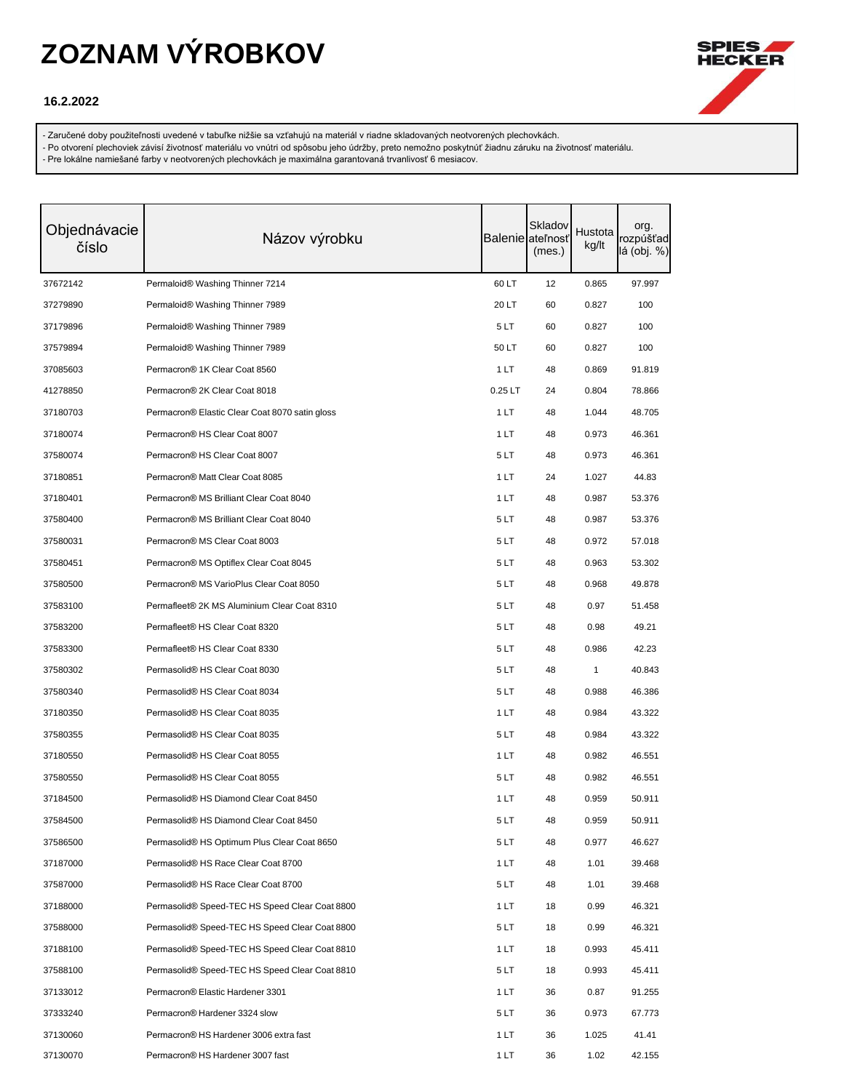

### **16.2.2022**

- Zaručené doby použiteľnosti uvedené v tabuľke nižšie sa vzťahujú na materiál v riadne skladovaných neotvorených plechovkách.

- Po otvorení plechoviek závisí životnosť materiálu vo vnútri od spôsobu jeho údržby, preto nemožno poskytnúť žiadnu záruku na životnosť materiálu.

| Objednávacie<br>číslo | Názov výrobku                                  |           | Skladov<br><b>Balenie</b> ateľnosť<br>(mes.) | Hustota<br>kg/lt | org.<br>rozpúšťad<br>lá (obj. %) |
|-----------------------|------------------------------------------------|-----------|----------------------------------------------|------------------|----------------------------------|
| 37672142              | Permaloid® Washing Thinner 7214                | 60 LT     | 12                                           | 0.865            | 97.997                           |
| 37279890              | Permaloid® Washing Thinner 7989                | 20 LT     | 60                                           | 0.827            | 100                              |
| 37179896              | Permaloid® Washing Thinner 7989                | 5LT       | 60                                           | 0.827            | 100                              |
| 37579894              | Permaloid® Washing Thinner 7989                | 50 LT     | 60                                           | 0.827            | 100                              |
| 37085603              | Permacron® 1K Clear Coat 8560                  | 1 LT      | 48                                           | 0.869            | 91.819                           |
| 41278850              | Permacron® 2K Clear Coat 8018                  | $0.25$ LT | 24                                           | 0.804            | 78.866                           |
| 37180703              | Permacron® Elastic Clear Coat 8070 satin gloss | 1 LT      | 48                                           | 1.044            | 48.705                           |
| 37180074              | Permacron® HS Clear Coat 8007                  | 1 LT      | 48                                           | 0.973            | 46.361                           |
| 37580074              | Permacron® HS Clear Coat 8007                  | 5LT       | 48                                           | 0.973            | 46.361                           |
| 37180851              | Permacron® Matt Clear Coat 8085                | 1 LT      | 24                                           | 1.027            | 44.83                            |
| 37180401              | Permacron® MS Brilliant Clear Coat 8040        | 1LT       | 48                                           | 0.987            | 53.376                           |
| 37580400              | Permacron® MS Brilliant Clear Coat 8040        | 5 LT      | 48                                           | 0.987            | 53.376                           |
| 37580031              | Permacron® MS Clear Coat 8003                  | 5 LT      | 48                                           | 0.972            | 57.018                           |
| 37580451              | Permacron® MS Optiflex Clear Coat 8045         | 5LT       | 48                                           | 0.963            | 53.302                           |
| 37580500              | Permacron® MS VarioPlus Clear Coat 8050        | 5LT       | 48                                           | 0.968            | 49.878                           |
| 37583100              | Permafleet® 2K MS Aluminium Clear Coat 8310    | 5LT       | 48                                           | 0.97             | 51.458                           |
| 37583200              | Permafleet® HS Clear Coat 8320                 | 5 LT      | 48                                           | 0.98             | 49.21                            |
| 37583300              | Permafleet® HS Clear Coat 8330                 | 5 LT      | 48                                           | 0.986            | 42.23                            |
| 37580302              | Permasolid® HS Clear Coat 8030                 | 5LT       | 48                                           | 1                | 40.843                           |
| 37580340              | Permasolid® HS Clear Coat 8034                 | 5LT       | 48                                           | 0.988            | 46.386                           |
| 37180350              | Permasolid® HS Clear Coat 8035                 | 1 LT      | 48                                           | 0.984            | 43.322                           |
| 37580355              | Permasolid® HS Clear Coat 8035                 | 5 LT      | 48                                           | 0.984            | 43.322                           |
| 37180550              | Permasolid® HS Clear Coat 8055                 | 1 LT      | 48                                           | 0.982            | 46.551                           |
| 37580550              | Permasolid® HS Clear Coat 8055                 | 5LT       | 48                                           | 0.982            | 46.551                           |
| 37184500              | Permasolid® HS Diamond Clear Coat 8450         | 1 LT      | 48                                           | 0.959            | 50.911                           |
| 37584500              | Permasolid® HS Diamond Clear Coat 8450         | 5LT       | 48                                           | 0.959            | 50.911                           |
| 37586500              | Permasolid® HS Optimum Plus Clear Coat 8650    | 5LT       | 48                                           | 0.977            | 46.627                           |
| 37187000              | Permasolid® HS Race Clear Coat 8700            | 1 LT      | 48                                           | 1.01             | 39.468                           |
| 37587000              | Permasolid® HS Race Clear Coat 8700            | 5LT       | 48                                           | 1.01             | 39.468                           |
| 37188000              | Permasolid® Speed-TEC HS Speed Clear Coat 8800 | 1 LT      | 18                                           | 0.99             | 46.321                           |
| 37588000              | Permasolid® Speed-TEC HS Speed Clear Coat 8800 | 5LT       | 18                                           | 0.99             | 46.321                           |
| 37188100              | Permasolid® Speed-TEC HS Speed Clear Coat 8810 | 1 LT      | 18                                           | 0.993            | 45.411                           |
| 37588100              | Permasolid® Speed-TEC HS Speed Clear Coat 8810 | 5LT       | 18                                           | 0.993            | 45.411                           |
| 37133012              | Permacron® Elastic Hardener 3301               | 1LT       | 36                                           | 0.87             | 91.255                           |
| 37333240              | Permacron® Hardener 3324 slow                  | 5LT       | 36                                           | 0.973            | 67.773                           |
| 37130060              | Permacron® HS Hardener 3006 extra fast         | 1LT       | 36                                           | 1.025            | 41.41                            |
| 37130070              | Permacron® HS Hardener 3007 fast               | 1 LT      | 36                                           | 1.02             | 42.155                           |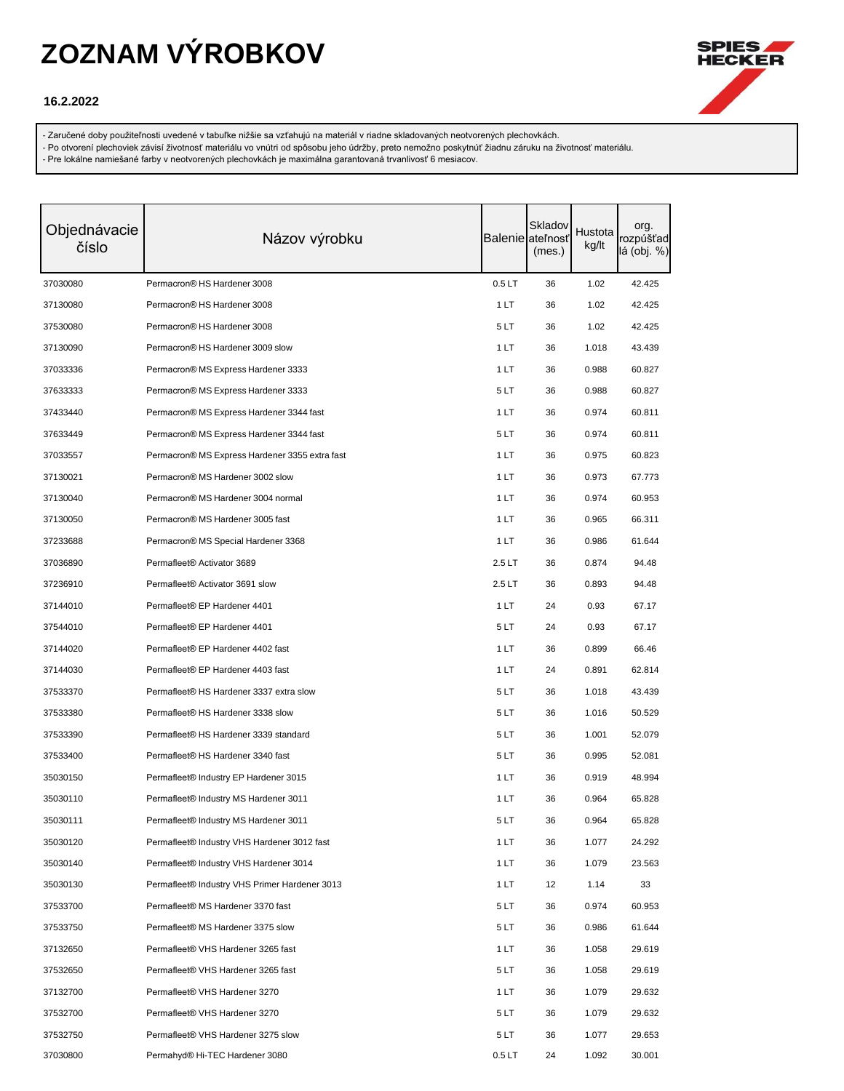

#### **16.2.2022**

- Zaručené doby použiteľnosti uvedené v tabuľke nižšie sa vzťahujú na materiál v riadne skladovaných neotvorených plechovkách.

- Po otvorení plechoviek závisí životnosť materiálu vo vnútri od spôsobu jeho údržby, preto nemožno poskytnúť žiadnu záruku na životnosť materiálu.

| Objednávacie<br>číslo | Názov výrobku                                  |       | Skladov<br>Balenie ateľnosť<br>(mes.) | Hustota<br>kg/lt | org.<br>rozpúšťad<br>lá (obj. %) |
|-----------------------|------------------------------------------------|-------|---------------------------------------|------------------|----------------------------------|
| 37030080              | Permacron® HS Hardener 3008                    | 0.5LT | 36                                    | 1.02             | 42.425                           |
| 37130080              | Permacron® HS Hardener 3008                    | 1 LT  | 36                                    | 1.02             | 42.425                           |
| 37530080              | Permacron® HS Hardener 3008                    | 5LT   | 36                                    | 1.02             | 42.425                           |
| 37130090              | Permacron® HS Hardener 3009 slow               | 1 LT  | 36                                    | 1.018            | 43.439                           |
| 37033336              | Permacron® MS Express Hardener 3333            | 1 LT  | 36                                    | 0.988            | 60.827                           |
| 37633333              | Permacron® MS Express Hardener 3333            | 5LT   | 36                                    | 0.988            | 60.827                           |
| 37433440              | Permacron® MS Express Hardener 3344 fast       | 1 LT  | 36                                    | 0.974            | 60.811                           |
| 37633449              | Permacron® MS Express Hardener 3344 fast       | 5LT   | 36                                    | 0.974            | 60.811                           |
| 37033557              | Permacron® MS Express Hardener 3355 extra fast | 1 LT  | 36                                    | 0.975            | 60.823                           |
| 37130021              | Permacron® MS Hardener 3002 slow               | 1 LT  | 36                                    | 0.973            | 67.773                           |
| 37130040              | Permacron® MS Hardener 3004 normal             | 1 LT  | 36                                    | 0.974            | 60.953                           |
| 37130050              | Permacron® MS Hardener 3005 fast               | 1 LT  | 36                                    | 0.965            | 66.311                           |
| 37233688              | Permacron® MS Special Hardener 3368            | 1 LT  | 36                                    | 0.986            | 61.644                           |
| 37036890              | Permafleet <sup>®</sup> Activator 3689         | 2.5LT | 36                                    | 0.874            | 94.48                            |
| 37236910              | Permafleet® Activator 3691 slow                | 2.5LT | 36                                    | 0.893            | 94.48                            |
| 37144010              | Permafleet® EP Hardener 4401                   | 1LT   | 24                                    | 0.93             | 67.17                            |
| 37544010              | Permafleet® EP Hardener 4401                   | 5LT   | 24                                    | 0.93             | 67.17                            |
| 37144020              | Permafleet® EP Hardener 4402 fast              | 1 LT  | 36                                    | 0.899            | 66.46                            |
| 37144030              | Permafleet® EP Hardener 4403 fast              | 1 LT  | 24                                    | 0.891            | 62.814                           |
| 37533370              | Permafleet® HS Hardener 3337 extra slow        | 5LT   | 36                                    | 1.018            | 43.439                           |
| 37533380              | Permafleet® HS Hardener 3338 slow              | 5LT   | 36                                    | 1.016            | 50.529                           |
| 37533390              | Permafleet® HS Hardener 3339 standard          | 5LT   | 36                                    | 1.001            | 52.079                           |
| 37533400              | Permafleet® HS Hardener 3340 fast              | 5LT   | 36                                    | 0.995            | 52.081                           |
| 35030150              | Permafleet® Industry EP Hardener 3015          | 1 LT  | 36                                    | 0.919            | 48.994                           |
| 35030110              | Permafleet® Industry MS Hardener 3011          | 1 LT  | 36                                    | 0.964            | 65.828                           |
| 35030111              | Permafleet® Industry MS Hardener 3011          | 5LT   | 36                                    | 0.964            | 65.828                           |
| 35030120              | Permafleet® Industry VHS Hardener 3012 fast    | 1LT   | 36                                    | 1.077            | 24.292                           |
| 35030140              | Permafleet® Industry VHS Hardener 3014         | 1 LT  | 36                                    | 1.079            | 23.563                           |
| 35030130              | Permafleet® Industry VHS Primer Hardener 3013  | 1LT   | 12                                    | 1.14             | 33                               |
| 37533700              | Permafleet® MS Hardener 3370 fast              | 5LT   | 36                                    | 0.974            | 60.953                           |
| 37533750              | Permafleet® MS Hardener 3375 slow              | 5LT   | 36                                    | 0.986            | 61.644                           |
| 37132650              | Permafleet® VHS Hardener 3265 fast             | 1 LT  | 36                                    | 1.058            | 29.619                           |
| 37532650              | Permafleet® VHS Hardener 3265 fast             | 5LT   | 36                                    | 1.058            | 29.619                           |
| 37132700              | Permafleet® VHS Hardener 3270                  | 1 LT  | 36                                    | 1.079            | 29.632                           |
| 37532700              | Permafleet® VHS Hardener 3270                  | 5 LT  | 36                                    | 1.079            | 29.632                           |
| 37532750              | Permafleet® VHS Hardener 3275 slow             | 5LT   | 36                                    | 1.077            | 29.653                           |
| 37030800              | Permahyd® Hi-TEC Hardener 3080                 | 0.5LT | 24                                    | 1.092            | 30.001                           |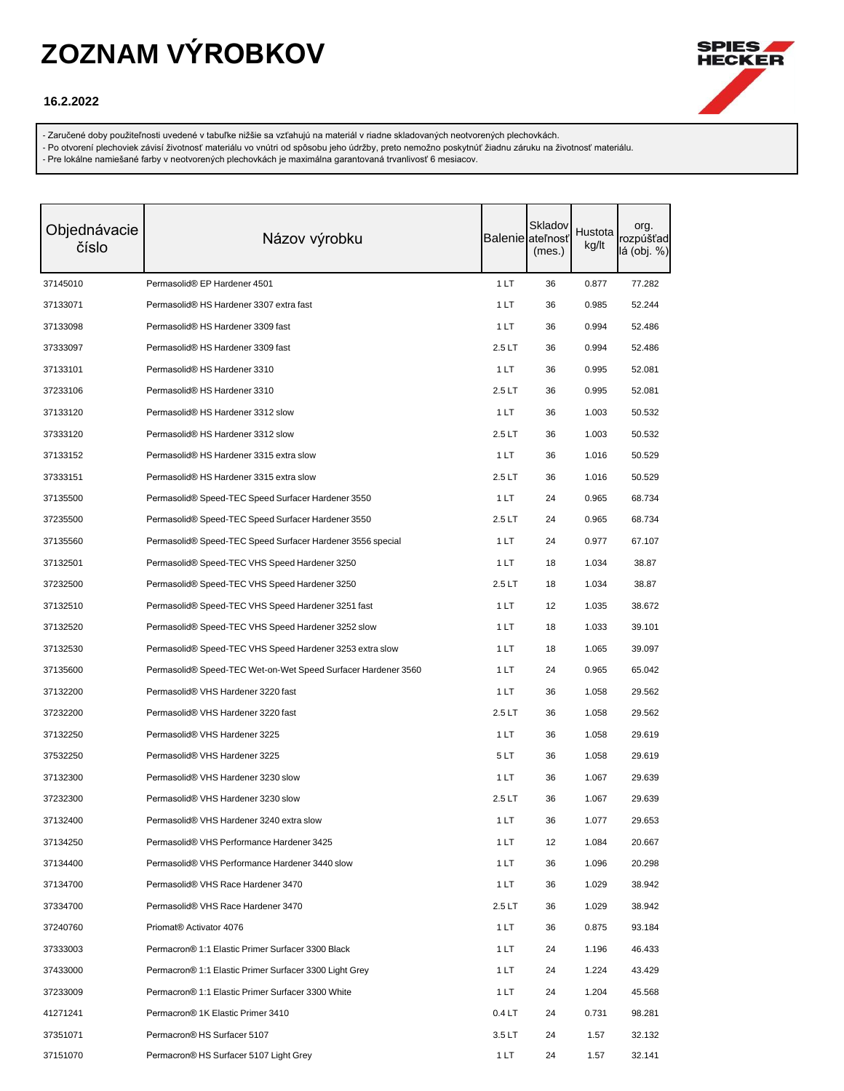

### **16.2.2022**

- Zaručené doby použiteľnosti uvedené v tabuľke nižšie sa vzťahujú na materiál v riadne skladovaných neotvorených plechovkách.

- Po otvorení plechoviek závisí životnosť materiálu vo vnútri od spôsobu jeho údržby, preto nemožno poskytnúť žiadnu záruku na životnosť materiálu.

| Objednávacie<br>číslo | Názov výrobku                                                 |                   | Skladov<br>Balenie ateľnosť<br>(mes.) | Hustota<br>kg/lt | org.<br>rozpúšťad<br>lá (obj. %) |
|-----------------------|---------------------------------------------------------------|-------------------|---------------------------------------|------------------|----------------------------------|
| 37145010              | Permasolid® EP Hardener 4501                                  | 1LT               | 36                                    | 0.877            | 77.282                           |
| 37133071              | Permasolid® HS Hardener 3307 extra fast                       | 1 LT              | 36                                    | 0.985            | 52.244                           |
| 37133098              | Permasolid® HS Hardener 3309 fast                             | 1 LT              | 36                                    | 0.994            | 52.486                           |
| 37333097              | Permasolid® HS Hardener 3309 fast                             | 2.5LT             | 36                                    | 0.994            | 52.486                           |
| 37133101              | Permasolid® HS Hardener 3310                                  | 1LT               | 36                                    | 0.995            | 52.081                           |
| 37233106              | Permasolid® HS Hardener 3310                                  | 2.5LT             | 36                                    | 0.995            | 52.081                           |
| 37133120              | Permasolid® HS Hardener 3312 slow                             | 1 LT              | 36                                    | 1.003            | 50.532                           |
| 37333120              | Permasolid <sup>®</sup> HS Hardener 3312 slow                 | 2.5LT             | 36                                    | 1.003            | 50.532                           |
| 37133152              | Permasolid® HS Hardener 3315 extra slow                       | 1 LT              | 36                                    | 1.016            | 50.529                           |
| 37333151              | Permasolid® HS Hardener 3315 extra slow                       | 2.5LT             | 36                                    | 1.016            | 50.529                           |
| 37135500              | Permasolid® Speed-TEC Speed Surfacer Hardener 3550            | 1 LT              | 24                                    | 0.965            | 68.734                           |
| 37235500              | Permasolid® Speed-TEC Speed Surfacer Hardener 3550            | 2.5LT             | 24                                    | 0.965            | 68.734                           |
| 37135560              | Permasolid® Speed-TEC Speed Surfacer Hardener 3556 special    | 1 LT              | 24                                    | 0.977            | 67.107                           |
| 37132501              | Permasolid® Speed-TEC VHS Speed Hardener 3250                 | 1 LT              | 18                                    | 1.034            | 38.87                            |
| 37232500              | Permasolid® Speed-TEC VHS Speed Hardener 3250                 | 2.5LT             | 18                                    | 1.034            | 38.87                            |
| 37132510              | Permasolid® Speed-TEC VHS Speed Hardener 3251 fast            | 1 LT              | 12                                    | 1.035            | 38.672                           |
| 37132520              | Permasolid® Speed-TEC VHS Speed Hardener 3252 slow            | 1 LT              | 18                                    | 1.033            | 39.101                           |
| 37132530              | Permasolid® Speed-TEC VHS Speed Hardener 3253 extra slow      | 1 LT              | 18                                    | 1.065            | 39.097                           |
| 37135600              | Permasolid® Speed-TEC Wet-on-Wet Speed Surfacer Hardener 3560 | 1 LT              | 24                                    | 0.965            | 65.042                           |
| 37132200              | Permasolid® VHS Hardener 3220 fast                            | 1 LT              | 36                                    | 1.058            | 29.562                           |
| 37232200              | Permasolid <sup>®</sup> VHS Hardener 3220 fast                | 2.5LT             | 36                                    | 1.058            | 29.562                           |
| 37132250              | Permasolid® VHS Hardener 3225                                 | 1 LT              | 36                                    | 1.058            | 29.619                           |
| 37532250              | Permasolid® VHS Hardener 3225                                 | 5LT               | 36                                    | 1.058            | 29.619                           |
| 37132300              | Permasolid® VHS Hardener 3230 slow                            | 1 LT              | 36                                    | 1.067            | 29.639                           |
| 37232300              | Permasolid® VHS Hardener 3230 slow                            | 2.5LT             | 36                                    | 1.067            | 29.639                           |
| 37132400              | Permasolid® VHS Hardener 3240 extra slow                      | 1 LT              | 36                                    | 1.077            | 29.653                           |
| 37134250              | Permasolid® VHS Performance Hardener 3425                     | 1LT               | 12                                    | 1.084            | 20.667                           |
| 37134400              | Permasolid® VHS Performance Hardener 3440 slow                | 1 LT              | 36                                    | 1.096            | 20.298                           |
| 37134700              | Permasolid® VHS Race Hardener 3470                            | 1 LT              | 36                                    | 1.029            | 38.942                           |
| 37334700              | Permasolid® VHS Race Hardener 3470                            | 2.5LT             | 36                                    | 1.029            | 38.942                           |
| 37240760              | Priomat <sup>®</sup> Activator 4076                           | 1 LT              | 36                                    | 0.875            | 93.184                           |
| 37333003              | Permacron® 1:1 Elastic Primer Surfacer 3300 Black             | 1 LT              | 24                                    | 1.196            | 46.433                           |
| 37433000              | Permacron® 1:1 Elastic Primer Surfacer 3300 Light Grey        | 1 LT              | 24                                    | 1.224            | 43.429                           |
| 37233009              | Permacron® 1:1 Elastic Primer Surfacer 3300 White             | 1 LT              | 24                                    | 1.204            | 45.568                           |
| 41271241              | Permacron® 1K Elastic Primer 3410                             | 0.4 <sub>LT</sub> | 24                                    | 0.731            | 98.281                           |
| 37351071              | Permacron® HS Surfacer 5107                                   | 3.5LT             | 24                                    | 1.57             | 32.132                           |
| 37151070              | Permacron <sup>®</sup> HS Surfacer 5107 Light Grey            | 1 LT              | 24                                    | 1.57             | 32.141                           |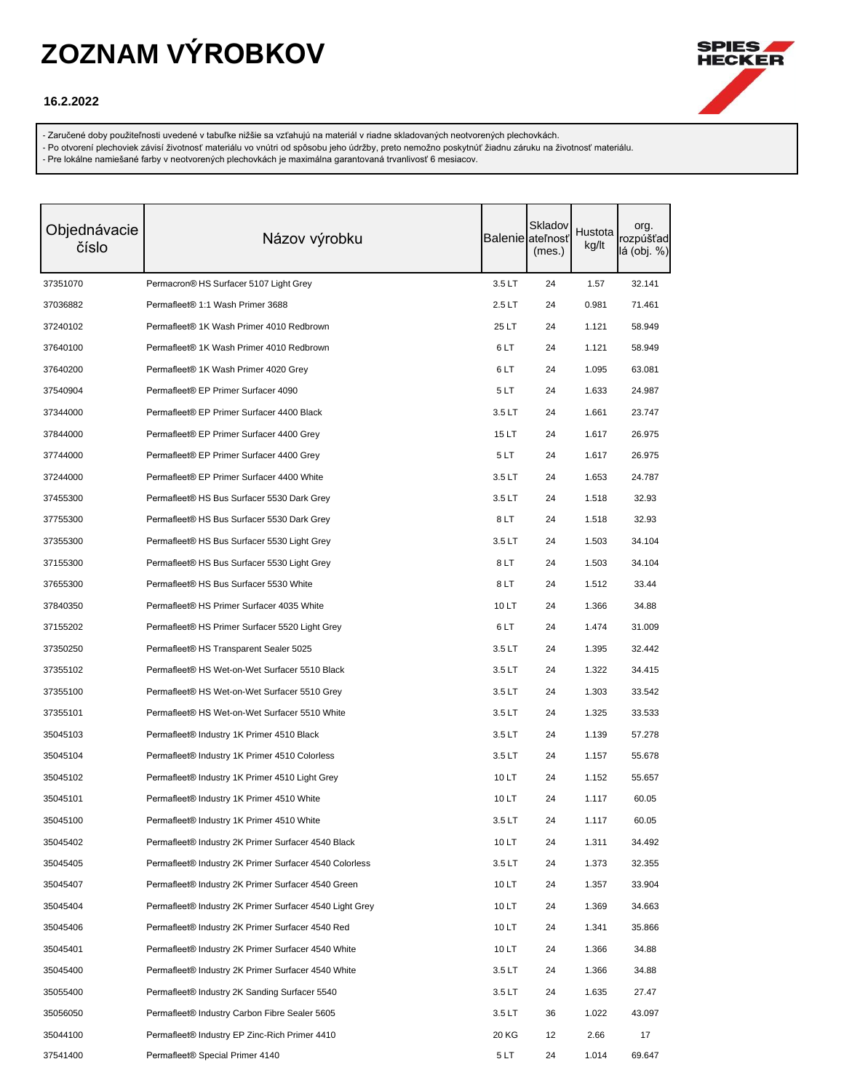

### **16.2.2022**

- Zaručené doby použiteľnosti uvedené v tabuľke nižšie sa vzťahujú na materiál v riadne skladovaných neotvorených plechovkách.

- Po otvorení plechoviek závisí životnosť materiálu vo vnútri od spôsobu jeho údržby, preto nemožno poskytnúť žiadnu záruku na životnosť materiálu.

| Objednávacie<br>číslo | Názov výrobku                                             |        | Skladov<br>Balenie ateľnosť<br>(mes.) | Hustota<br>kg/lt | org.<br>rozpúšťad<br>lá (obj. %) |
|-----------------------|-----------------------------------------------------------|--------|---------------------------------------|------------------|----------------------------------|
| 37351070              | Permacron® HS Surfacer 5107 Light Grey                    | 3.5LT  | 24                                    | 1.57             | 32.141                           |
| 37036882              | Permafleet® 1:1 Wash Primer 3688                          | 2.5LT  | 24                                    | 0.981            | 71.461                           |
| 37240102              | Permafleet® 1K Wash Primer 4010 Redbrown                  | 25 LT  | 24                                    | 1.121            | 58.949                           |
| 37640100              | Permafleet® 1K Wash Primer 4010 Redbrown                  | 6LT    | 24                                    | 1.121            | 58.949                           |
| 37640200              | Permafleet® 1K Wash Primer 4020 Grey                      | 6LT    | 24                                    | 1.095            | 63.081                           |
| 37540904              | Permafleet® EP Primer Surfacer 4090                       | 5 LT   | 24                                    | 1.633            | 24.987                           |
| 37344000              | Permafleet® EP Primer Surfacer 4400 Black                 | 3.5LT  | 24                                    | 1.661            | 23.747                           |
| 37844000              | Permafleet <sup>®</sup> EP Primer Surfacer 4400 Grey      | 15 LT  | 24                                    | 1.617            | 26.975                           |
| 37744000              | Permafleet® EP Primer Surfacer 4400 Grey                  | 5 LT   | 24                                    | 1.617            | 26.975                           |
| 37244000              | Permafleet® EP Primer Surfacer 4400 White                 | 3.5LT  | 24                                    | 1.653            | 24.787                           |
| 37455300              | Permafleet® HS Bus Surfacer 5530 Dark Grey                | 3.5LT  | 24                                    | 1.518            | 32.93                            |
| 37755300              | Permafleet® HS Bus Surfacer 5530 Dark Grey                | 8LT    | 24                                    | 1.518            | 32.93                            |
| 37355300              | Permafleet® HS Bus Surfacer 5530 Light Grey               | 3.5LT  | 24                                    | 1.503            | 34.104                           |
| 37155300              | Permafleet® HS Bus Surfacer 5530 Light Grey               | 8LT    | 24                                    | 1.503            | 34.104                           |
| 37655300              | Permafleet® HS Bus Surfacer 5530 White                    | 8LT    | 24                                    | 1.512            | 33.44                            |
| 37840350              | Permafleet® HS Primer Surfacer 4035 White                 | 10 LT  | 24                                    | 1.366            | 34.88                            |
| 37155202              | Permafleet® HS Primer Surfacer 5520 Light Grey            | 6LT    | 24                                    | 1.474            | 31.009                           |
| 37350250              | Permafleet <sup>®</sup> HS Transparent Sealer 5025        | 3.5 LT | 24                                    | 1.395            | 32.442                           |
| 37355102              | Permafleet® HS Wet-on-Wet Surfacer 5510 Black             | 3.5LT  | 24                                    | 1.322            | 34.415                           |
| 37355100              | Permafleet® HS Wet-on-Wet Surfacer 5510 Grey              | 3.5LT  | 24                                    | 1.303            | 33.542                           |
| 37355101              | Permafleet® HS Wet-on-Wet Surfacer 5510 White             | 3.5LT  | 24                                    | 1.325            | 33.533                           |
| 35045103              | Permafleet® Industry 1K Primer 4510 Black                 | 3.5LT  | 24                                    | 1.139            | 57.278                           |
| 35045104              | Permafleet <sup>®</sup> Industry 1K Primer 4510 Colorless | 3.5LT  | 24                                    | 1.157            | 55.678                           |
| 35045102              | Permafleet® Industry 1K Primer 4510 Light Grey            | 10 LT  | 24                                    | 1.152            | 55.657                           |
| 35045101              | Permafleet® Industry 1K Primer 4510 White                 | 10 LT  | 24                                    | 1.117            | 60.05                            |
| 35045100              | Permafleet <sup>®</sup> Industry 1K Primer 4510 White     | 3.5 LT | 24                                    | 1.117            | 60.05                            |
| 35045402              | Permafleet® Industry 2K Primer Surfacer 4540 Black        | 10 LT  | 24                                    | 1.311            | 34.492                           |
| 35045405              | Permafleet® Industry 2K Primer Surfacer 4540 Colorless    | 3.5LT  | 24                                    | 1.373            | 32.355                           |
| 35045407              | Permafleet® Industry 2K Primer Surfacer 4540 Green        | 10 LT  | 24                                    | 1.357            | 33.904                           |
| 35045404              | Permafleet® Industry 2K Primer Surfacer 4540 Light Grey   | 10 LT  | 24                                    | 1.369            | 34.663                           |
| 35045406              | Permafleet® Industry 2K Primer Surfacer 4540 Red          | 10 LT  | 24                                    | 1.341            | 35.866                           |
| 35045401              | Permafleet® Industry 2K Primer Surfacer 4540 White        | 10 LT  | 24                                    | 1.366            | 34.88                            |
| 35045400              | Permafleet® Industry 2K Primer Surfacer 4540 White        | 3.5LT  | 24                                    | 1.366            | 34.88                            |
| 35055400              | Permafleet® Industry 2K Sanding Surfacer 5540             | 3.5LT  | 24                                    | 1.635            | 27.47                            |
| 35056050              | Permafleet® Industry Carbon Fibre Sealer 5605             | 3.5LT  | 36                                    | 1.022            | 43.097                           |
| 35044100              | Permafleet® Industry EP Zinc-Rich Primer 4410             | 20 KG  | 12                                    | 2.66             | 17                               |
| 37541400              | Permafleet <sup>®</sup> Special Primer 4140               | 5LT    | 24                                    | 1.014            | 69.647                           |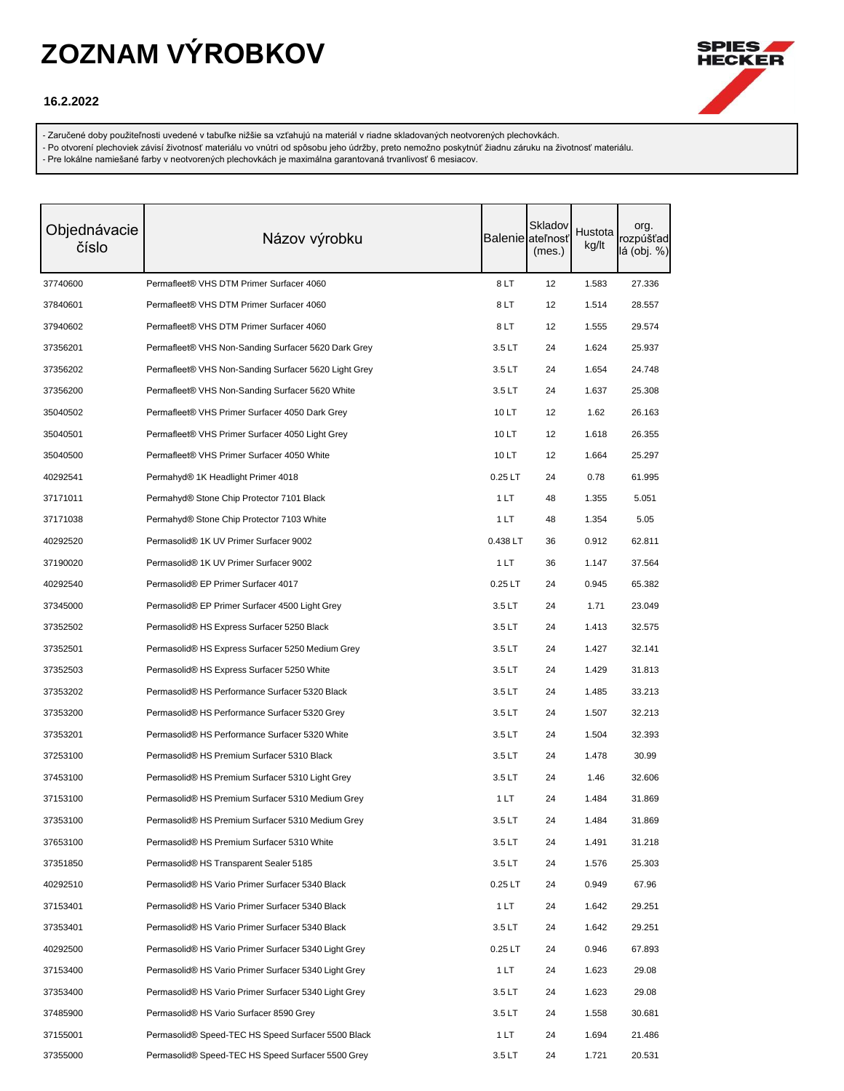

### **16.2.2022**

- Zaručené doby použiteľnosti uvedené v tabuľke nižšie sa vzťahujú na materiál v riadne skladovaných neotvorených plechovkách.

- Po otvorení plechoviek závisí životnosť materiálu vo vnútri od spôsobu jeho údržby, preto nemožno poskytnúť žiadnu záruku na životnosť materiálu.

| Objednávacie<br>číslo | Názov výrobku                                        |           | Skladov<br><b>Balenie</b> ateľnosť<br>(mes.) | Hustota<br>kg/lt | org.<br>rozpúšťad<br>lá (obj. %) |
|-----------------------|------------------------------------------------------|-----------|----------------------------------------------|------------------|----------------------------------|
| 37740600              | Permafleet® VHS DTM Primer Surfacer 4060             | 8LT       | 12                                           | 1.583            | 27.336                           |
| 37840601              | Permafleet® VHS DTM Primer Surfacer 4060             | 8LT       | 12                                           | 1.514            | 28.557                           |
| 37940602              | Permafleet® VHS DTM Primer Surfacer 4060             | 8 LT      | 12                                           | 1.555            | 29.574                           |
| 37356201              | Permafleet® VHS Non-Sanding Surfacer 5620 Dark Grey  | 3.5LT     | 24                                           | 1.624            | 25.937                           |
| 37356202              | Permafleet® VHS Non-Sanding Surfacer 5620 Light Grey | 3.5LT     | 24                                           | 1.654            | 24.748                           |
| 37356200              | Permafleet® VHS Non-Sanding Surfacer 5620 White      | 3.5LT     | 24                                           | 1.637            | 25.308                           |
| 35040502              | Permafleet® VHS Primer Surfacer 4050 Dark Grey       | 10 LT     | 12                                           | 1.62             | 26.163                           |
| 35040501              | Permafleet® VHS Primer Surfacer 4050 Light Grey      | 10 LT     | 12                                           | 1.618            | 26.355                           |
| 35040500              | Permafleet® VHS Primer Surfacer 4050 White           | 10 LT     | 12                                           | 1.664            | 25.297                           |
| 40292541              | Permahyd <sup>®</sup> 1K Headlight Primer 4018       | $0.25$ LT | 24                                           | 0.78             | 61.995                           |
| 37171011              | Permahyd® Stone Chip Protector 7101 Black            | 1 LT      | 48                                           | 1.355            | 5.051                            |
| 37171038              | Permahyd® Stone Chip Protector 7103 White            | 1 LT      | 48                                           | 1.354            | 5.05                             |
| 40292520              | Permasolid® 1K UV Primer Surfacer 9002               | 0.438 LT  | 36                                           | 0.912            | 62.811                           |
| 37190020              | Permasolid® 1K UV Primer Surfacer 9002               | 1 LT      | 36                                           | 1.147            | 37.564                           |
| 40292540              | Permasolid® EP Primer Surfacer 4017                  | $0.25$ LT | 24                                           | 0.945            | 65.382                           |
| 37345000              | Permasolid® EP Primer Surfacer 4500 Light Grey       | 3.5LT     | 24                                           | 1.71             | 23.049                           |
| 37352502              | Permasolid® HS Express Surfacer 5250 Black           | 3.5LT     | 24                                           | 1.413            | 32.575                           |
| 37352501              | Permasolid® HS Express Surfacer 5250 Medium Grey     | 3.5LT     | 24                                           | 1.427            | 32.141                           |
| 37352503              | Permasolid® HS Express Surfacer 5250 White           | 3.5LT     | 24                                           | 1.429            | 31.813                           |
| 37353202              | Permasolid® HS Performance Surfacer 5320 Black       | 3.5LT     | 24                                           | 1.485            | 33.213                           |
| 37353200              | Permasolid® HS Performance Surfacer 5320 Grey        | 3.5LT     | 24                                           | 1.507            | 32.213                           |
| 37353201              | Permasolid® HS Performance Surfacer 5320 White       | 3.5LT     | 24                                           | 1.504            | 32.393                           |
| 37253100              | Permasolid® HS Premium Surfacer 5310 Black           | 3.5LT     | 24                                           | 1.478            | 30.99                            |
| 37453100              | Permasolid® HS Premium Surfacer 5310 Light Grey      | 3.5LT     | 24                                           | 1.46             | 32.606                           |
| 37153100              | Permasolid® HS Premium Surfacer 5310 Medium Grey     | 1 LT      | 24                                           | 1.484            | 31.869                           |
| 37353100              | Permasolid® HS Premium Surfacer 5310 Medium Grey     | 3.5LT     | 24                                           | 1.484            | 31.869                           |
| 37653100              | Permasolid® HS Premium Surfacer 5310 White           | 3.5LT     | 24                                           | 1.491            | 31.218                           |
| 37351850              | Permasolid® HS Transparent Sealer 5185               | 3.5LT     | 24                                           | 1.576            | 25.303                           |
| 40292510              | Permasolid® HS Vario Primer Surfacer 5340 Black      | $0.25$ LT | 24                                           | 0.949            | 67.96                            |
| 37153401              | Permasolid® HS Vario Primer Surfacer 5340 Black      | 1LT       | 24                                           | 1.642            | 29.251                           |
| 37353401              | Permasolid® HS Vario Primer Surfacer 5340 Black      | 3.5LT     | 24                                           | 1.642            | 29.251                           |
| 40292500              | Permasolid® HS Vario Primer Surfacer 5340 Light Grey | $0.25$ LT | 24                                           | 0.946            | 67.893                           |
| 37153400              | Permasolid® HS Vario Primer Surfacer 5340 Light Grey | 1LT       | 24                                           | 1.623            | 29.08                            |
| 37353400              | Permasolid® HS Vario Primer Surfacer 5340 Light Grey | 3.5LT     | 24                                           | 1.623            | 29.08                            |
| 37485900              | Permasolid® HS Vario Surfacer 8590 Grey              | 3.5LT     | 24                                           | 1.558            | 30.681                           |
| 37155001              | Permasolid® Speed-TEC HS Speed Surfacer 5500 Black   | 1 LT      | 24                                           | 1.694            | 21.486                           |
| 37355000              | Permasolid® Speed-TEC HS Speed Surfacer 5500 Grey    | 3.5LT     | 24                                           | 1.721            | 20.531                           |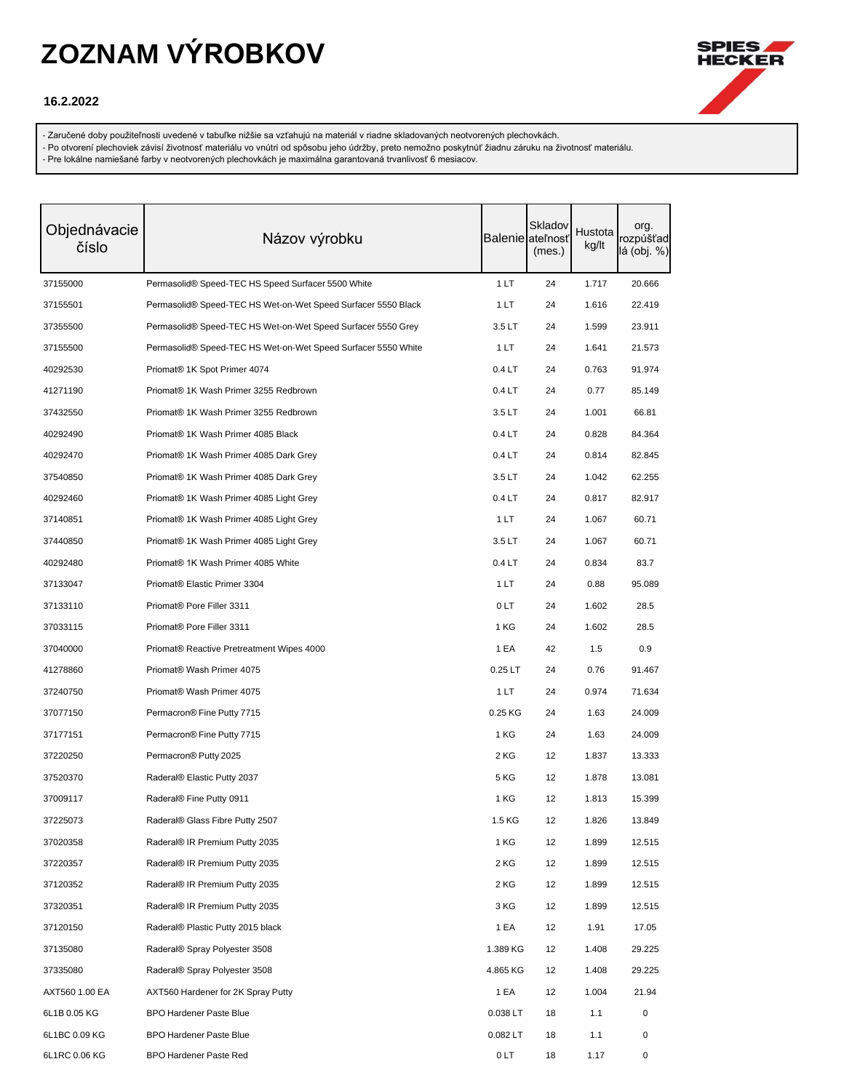

### **16.2.2022**

- Zaručené doby použiteľnosti uvedené v tabuľke nižšie sa vzťahujú na materiál v riadne skladovaných neotvorených plechovkách.

- Po otvorení plechoviek závisí životnosť materiálu vo vnútri od spôsobu jeho údržby, preto nemožno poskytnúť žiadnu záruku na životnosť materiálu.

| Objednávacie<br>číslo | Názov výrobku                                                 |           | Skladov<br><b>Balenie</b> ateľnosť<br>(mes.) | Hustota<br>kg/lt | org.<br>rozpúšťad<br>lá (obj. %) |
|-----------------------|---------------------------------------------------------------|-----------|----------------------------------------------|------------------|----------------------------------|
| 37155000              | Permasolid® Speed-TEC HS Speed Surfacer 5500 White            | 1LT       | 24                                           | 1.717            | 20.666                           |
| 37155501              | Permasolid® Speed-TEC HS Wet-on-Wet Speed Surfacer 5550 Black | 1 LT      | 24                                           | 1.616            | 22.419                           |
| 37355500              | Permasolid® Speed-TEC HS Wet-on-Wet Speed Surfacer 5550 Grey  | 3.5LT     | 24                                           | 1.599            | 23.911                           |
| 37155500              | Permasolid® Speed-TEC HS Wet-on-Wet Speed Surfacer 5550 White | 1 LT      | 24                                           | 1.641            | 21.573                           |
| 40292530              | Priomat <sup>®</sup> 1K Spot Primer 4074                      | 0.4LT     | 24                                           | 0.763            | 91.974                           |
| 41271190              | Priomat® 1K Wash Primer 3255 Redbrown                         | 0.4LT     | 24                                           | 0.77             | 85.149                           |
| 37432550              | Priomat® 1K Wash Primer 3255 Redbrown                         | 3.5LT     | 24                                           | 1.001            | 66.81                            |
| 40292490              | Priomat <sup>®</sup> 1K Wash Primer 4085 Black                | 0.4LT     | 24                                           | 0.828            | 84.364                           |
| 40292470              | Priomat <sup>®</sup> 1K Wash Primer 4085 Dark Grey            | 0.4LT     | 24                                           | 0.814            | 82.845                           |
| 37540850              | Priomat® 1K Wash Primer 4085 Dark Grey                        | 3.5LT     | 24                                           | 1.042            | 62.255                           |
| 40292460              | Priomat <sup>®</sup> 1K Wash Primer 4085 Light Grey           | 0.4LT     | 24                                           | 0.817            | 82.917                           |
| 37140851              | Priomat <sup>®</sup> 1K Wash Primer 4085 Light Grey           | 1 LT      | 24                                           | 1.067            | 60.71                            |
| 37440850              | Priomat® 1K Wash Primer 4085 Light Grey                       | 3.5LT     | 24                                           | 1.067            | 60.71                            |
| 40292480              | Priomat® 1K Wash Primer 4085 White                            | 0.4LT     | 24                                           | 0.834            | 83.7                             |
| 37133047              | Priomat <sup>®</sup> Elastic Primer 3304                      | 1 LT      | 24                                           | 0.88             | 95.089                           |
| 37133110              | Priomat <sup>®</sup> Pore Filler 3311                         | 0LT       | 24                                           | 1.602            | 28.5                             |
| 37033115              | Priomat <sup>®</sup> Pore Filler 3311                         | 1 KG      | 24                                           | 1.602            | 28.5                             |
| 37040000              | Priomat <sup>®</sup> Reactive Pretreatment Wipes 4000         | 1 EA      | 42                                           | 1.5              | 0.9                              |
| 41278860              | Priomat <sup>®</sup> Wash Primer 4075                         | $0.25$ LT | 24                                           | 0.76             | 91.467                           |
| 37240750              | Priomat® Wash Primer 4075                                     | 1 LT      | 24                                           | 0.974            | 71.634                           |
| 37077150              | Permacron® Fine Putty 7715                                    | 0.25 KG   | 24                                           | 1.63             | 24.009                           |
| 37177151              | Permacron® Fine Putty 7715                                    | 1 KG      | 24                                           | 1.63             | 24.009                           |
| 37220250              | Permacron® Putty 2025                                         | 2 KG      | 12                                           | 1.837            | 13.333                           |
| 37520370              | Raderal® Elastic Putty 2037                                   | 5 KG      | 12                                           | 1.878            | 13.081                           |
| 37009117              | Raderal® Fine Putty 0911                                      | 1 KG      | 12                                           | 1.813            | 15.399                           |
| 37225073              | Raderal® Glass Fibre Putty 2507                               | 1.5 KG    | 12                                           | 1.826            | 13.849                           |
| 37020358              | Raderal® IR Premium Putty 2035                                | 1 KG      | 12                                           | 1.899            | 12.515                           |
| 37220357              | Raderal® IR Premium Putty 2035                                | 2 KG      | 12                                           | 1.899            | 12.515                           |
| 37120352              | Raderal® IR Premium Putty 2035                                | 2 KG      | 12                                           | 1.899            | 12.515                           |
| 37320351              | Raderal® IR Premium Putty 2035                                | 3 KG      | 12                                           | 1.899            | 12.515                           |
| 37120150              | Raderal® Plastic Putty 2015 black                             | 1 EA      | 12                                           | 1.91             | 17.05                            |
| 37135080              | Raderal® Spray Polyester 3508                                 | 1.389 KG  | 12                                           | 1.408            | 29.225                           |
| 37335080              | Raderal® Spray Polyester 3508                                 | 4.865 KG  | 12                                           | 1.408            | 29.225                           |
| AXT560 1.00 EA        | AXT560 Hardener for 2K Spray Putty                            | 1 EA      | 12                                           | 1.004            | 21.94                            |
| 6L1B 0.05 KG          | <b>BPO Hardener Paste Blue</b>                                | 0.038 LT  | 18                                           | 1.1              | 0                                |
| 6L1BC 0.09 KG         | <b>BPO Hardener Paste Blue</b>                                | 0.082 LT  | 18                                           | 1.1              | 0                                |
| 6L1RC 0.06 KG         | <b>BPO Hardener Paste Red</b>                                 | 0 LT      | 18                                           | 1.17             | 0                                |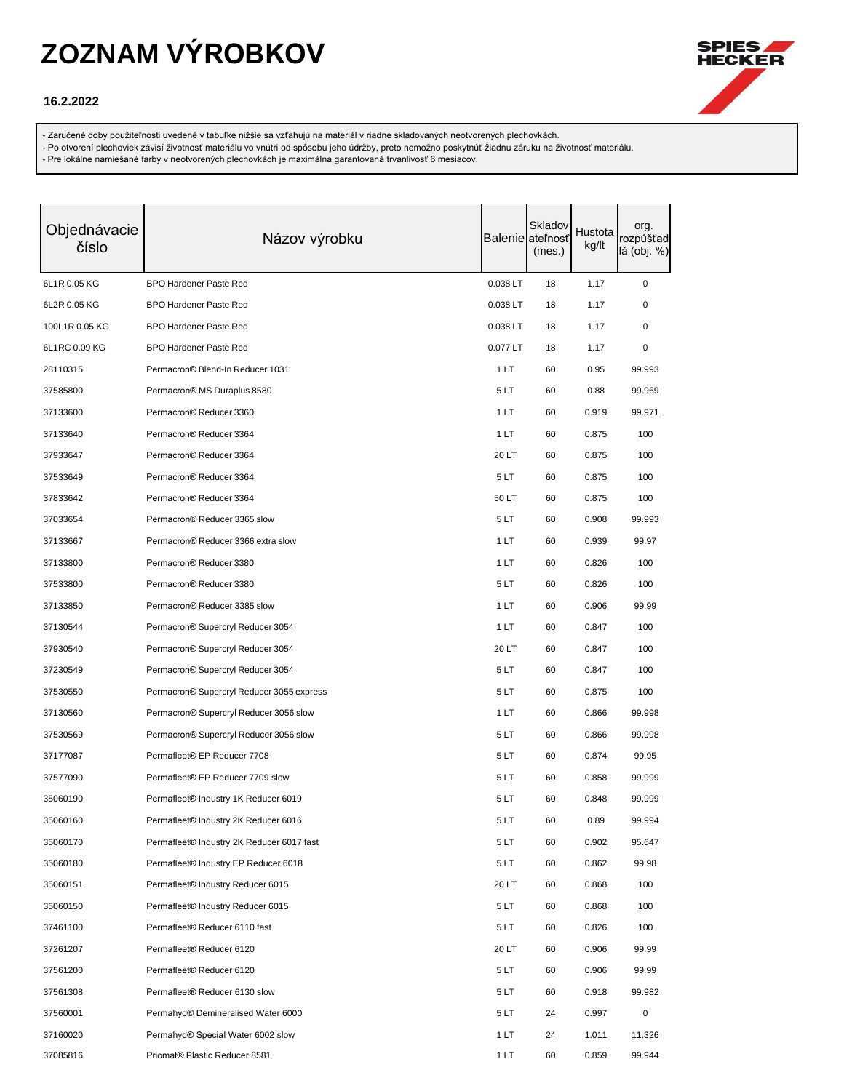

### **16.2.2022**

- Zaručené doby použiteľnosti uvedené v tabuľke nižšie sa vzťahujú na materiál v riadne skladovaných neotvorených plechovkách.

- Po otvorení plechoviek závisí životnosť materiálu vo vnútri od spôsobu jeho údržby, preto nemožno poskytnúť žiadnu záruku na životnosť materiálu.

| Objednávacie<br>číslo | Názov výrobku                             |          | Skladov<br>Balenie ateľnosť<br>(mes.) | Hustota<br>kg/lt | org.<br>rozpúšťad<br>lá (obj. %) |
|-----------------------|-------------------------------------------|----------|---------------------------------------|------------------|----------------------------------|
| 6L1R 0.05 KG          | <b>BPO Hardener Paste Red</b>             | 0.038 LT | 18                                    | 1.17             | 0                                |
| 6L2R 0.05 KG          | <b>BPO Hardener Paste Red</b>             | 0.038 LT | 18                                    | 1.17             | 0                                |
| 100L1R 0.05 KG        | <b>BPO Hardener Paste Red</b>             | 0.038 LT | 18                                    | 1.17             | 0                                |
| 6L1RC 0.09 KG         | <b>BPO Hardener Paste Red</b>             | 0.077 LT | 18                                    | 1.17             | 0                                |
| 28110315              | Permacron® Blend-In Reducer 1031          | 1 LT     | 60                                    | 0.95             | 99.993                           |
| 37585800              | Permacron® MS Duraplus 8580               | 5LT      | 60                                    | 0.88             | 99.969                           |
| 37133600              | Permacron® Reducer 3360                   | 1 LT     | 60                                    | 0.919            | 99.971                           |
| 37133640              | Permacron® Reducer 3364                   | 1 LT     | 60                                    | 0.875            | 100                              |
| 37933647              | Permacron® Reducer 3364                   | 20 LT    | 60                                    | 0.875            | 100                              |
| 37533649              | Permacron® Reducer 3364                   | 5LT      | 60                                    | 0.875            | 100                              |
| 37833642              | Permacron® Reducer 3364                   | 50 LT    | 60                                    | 0.875            | 100                              |
| 37033654              | Permacron® Reducer 3365 slow              | 5LT      | 60                                    | 0.908            | 99.993                           |
| 37133667              | Permacron® Reducer 3366 extra slow        | 1 LT     | 60                                    | 0.939            | 99.97                            |
| 37133800              | Permacron® Reducer 3380                   | 1LT      | 60                                    | 0.826            | 100                              |
| 37533800              | Permacron® Reducer 3380                   | 5LT      | 60                                    | 0.826            | 100                              |
| 37133850              | Permacron® Reducer 3385 slow              | 1LT      | 60                                    | 0.906            | 99.99                            |
| 37130544              | Permacron® Supercryl Reducer 3054         | 1 LT     | 60                                    | 0.847            | 100                              |
| 37930540              | Permacron® Supercryl Reducer 3054         | 20 LT    | 60                                    | 0.847            | 100                              |
| 37230549              | Permacron® Supercryl Reducer 3054         | 5LT      | 60                                    | 0.847            | 100                              |
| 37530550              | Permacron® Supercryl Reducer 3055 express | 5LT      | 60                                    | 0.875            | 100                              |
| 37130560              | Permacron® Supercryl Reducer 3056 slow    | 1 LT     | 60                                    | 0.866            | 99.998                           |
| 37530569              | Permacron® Supercryl Reducer 3056 slow    | 5LT      | 60                                    | 0.866            | 99.998                           |
| 37177087              | Permafleet® EP Reducer 7708               | 5LT      | 60                                    | 0.874            | 99.95                            |
| 37577090              | Permafleet® EP Reducer 7709 slow          | 5LT      | 60                                    | 0.858            | 99.999                           |
| 35060190              | Permafleet® Industry 1K Reducer 6019      | 5LT      | 60                                    | 0.848            | 99.999                           |
| 35060160              | Permafleet® Industry 2K Reducer 6016      | 5LT      | 60                                    | 0.89             | 99.994                           |
| 35060170              | Permafleet® Industry 2K Reducer 6017 fast | 5LT      | 60                                    | 0.902            | 95.647                           |
| 35060180              | Permafleet® Industry EP Reducer 6018      | 5 LT     | 60                                    | 0.862            | 99.98                            |
| 35060151              | Permafleet® Industry Reducer 6015         | 20 LT    | 60                                    | 0.868            | 100                              |
| 35060150              | Permafleet® Industry Reducer 6015         | 5LT      | 60                                    | 0.868            | 100                              |
| 37461100              | Permafleet® Reducer 6110 fast             | 5LT      | 60                                    | 0.826            | 100                              |
| 37261207              | Permafleet® Reducer 6120                  | 20 LT    | 60                                    | 0.906            | 99.99                            |
| 37561200              | Permafleet® Reducer 6120                  | 5 LT     | 60                                    | 0.906            | 99.99                            |
| 37561308              | Permafleet® Reducer 6130 slow             | 5LT      | 60                                    | 0.918            | 99.982                           |
| 37560001              | Permahyd® Demineralised Water 6000        | 5LT      | 24                                    | 0.997            | 0                                |
| 37160020              | Permahyd® Special Water 6002 slow         | 1LT      | 24                                    | 1.011            | 11.326                           |
| 37085816              | Priomat® Plastic Reducer 8581             | 1 LT     | 60                                    | 0.859            | 99.944                           |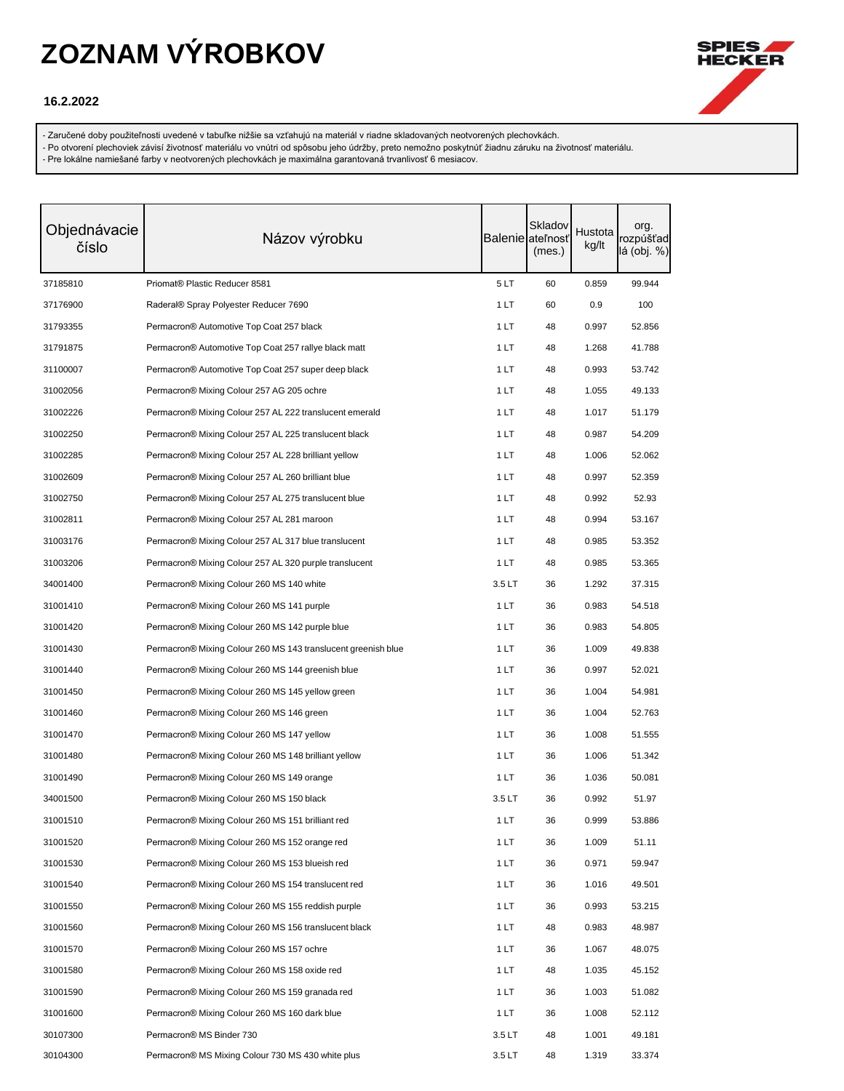

### **16.2.2022**

- Zaručené doby použiteľnosti uvedené v tabuľke nižšie sa vzťahujú na materiál v riadne skladovaných neotvorených plechovkách.

- Po otvorení plechoviek závisí životnosť materiálu vo vnútri od spôsobu jeho údržby, preto nemožno poskytnúť žiadnu záruku na životnosť materiálu.

| Objednávacie<br>číslo | Názov výrobku                                                 |       | Skladov<br><b>Balenie</b> ateľnosť<br>(mes.) | Hustota<br>kg/lt | org.<br>rozpúšťad<br>lá (obj. %) |
|-----------------------|---------------------------------------------------------------|-------|----------------------------------------------|------------------|----------------------------------|
| 37185810              | Priomat® Plastic Reducer 8581                                 | 5LT   | 60                                           | 0.859            | 99.944                           |
| 37176900              | Raderal® Spray Polyester Reducer 7690                         | 1 LT  | 60                                           | 0.9              | 100                              |
| 31793355              | Permacron <sup>®</sup> Automotive Top Coat 257 black          | 1 LT  | 48                                           | 0.997            | 52.856                           |
| 31791875              | Permacron® Automotive Top Coat 257 rallye black matt          | 1 LT  | 48                                           | 1.268            | 41.788                           |
| 31100007              | Permacron® Automotive Top Coat 257 super deep black           | 1 LT  | 48                                           | 0.993            | 53.742                           |
| 31002056              | Permacron® Mixing Colour 257 AG 205 ochre                     | 1 LT  | 48                                           | 1.055            | 49.133                           |
| 31002226              | Permacron® Mixing Colour 257 AL 222 translucent emerald       | 1 LT  | 48                                           | 1.017            | 51.179                           |
| 31002250              | Permacron® Mixing Colour 257 AL 225 translucent black         | 1 LT  | 48                                           | 0.987            | 54.209                           |
| 31002285              | Permacron® Mixing Colour 257 AL 228 brilliant yellow          | 1 LT  | 48                                           | 1.006            | 52.062                           |
| 31002609              | Permacron® Mixing Colour 257 AL 260 brilliant blue            | 1 LT  | 48                                           | 0.997            | 52.359                           |
| 31002750              | Permacron® Mixing Colour 257 AL 275 translucent blue          | 1 LT  | 48                                           | 0.992            | 52.93                            |
| 31002811              | Permacron® Mixing Colour 257 AL 281 maroon                    | 1 LT  | 48                                           | 0.994            | 53.167                           |
| 31003176              | Permacron® Mixing Colour 257 AL 317 blue translucent          | 1 LT  | 48                                           | 0.985            | 53.352                           |
| 31003206              | Permacron® Mixing Colour 257 AL 320 purple translucent        | 1 LT  | 48                                           | 0.985            | 53.365                           |
| 34001400              | Permacron <sup>®</sup> Mixing Colour 260 MS 140 white         | 3.5LT | 36                                           | 1.292            | 37.315                           |
| 31001410              | Permacron® Mixing Colour 260 MS 141 purple                    | 1 LT  | 36                                           | 0.983            | 54.518                           |
| 31001420              | Permacron® Mixing Colour 260 MS 142 purple blue               | 1 LT  | 36                                           | 0.983            | 54.805                           |
| 31001430              | Permacron® Mixing Colour 260 MS 143 translucent greenish blue | 1 LT  | 36                                           | 1.009            | 49.838                           |
| 31001440              | Permacron® Mixing Colour 260 MS 144 greenish blue             | 1 LT  | 36                                           | 0.997            | 52.021                           |
| 31001450              | Permacron® Mixing Colour 260 MS 145 yellow green              | 1 LT  | 36                                           | 1.004            | 54.981                           |
| 31001460              | Permacron® Mixing Colour 260 MS 146 green                     | 1 LT  | 36                                           | 1.004            | 52.763                           |
| 31001470              | Permacron® Mixing Colour 260 MS 147 yellow                    | 1 LT  | 36                                           | 1.008            | 51.555                           |
| 31001480              | Permacron® Mixing Colour 260 MS 148 brilliant yellow          | 1 LT  | 36                                           | 1.006            | 51.342                           |
| 31001490              | Permacron® Mixing Colour 260 MS 149 orange                    | 1 LT  | 36                                           | 1.036            | 50.081                           |
| 34001500              | Permacron® Mixing Colour 260 MS 150 black                     | 3.5LT | 36                                           | 0.992            | 51.97                            |
| 31001510              | Permacron® Mixing Colour 260 MS 151 brilliant red             | 1 LT  | 36                                           | 0.999            | 53.886                           |
| 31001520              | Permacron® Mixing Colour 260 MS 152 orange red                | 1LT   | 36                                           | 1.009            | 51.11                            |
| 31001530              | Permacron® Mixing Colour 260 MS 153 blueish red               | 1 LT  | 36                                           | 0.971            | 59.947                           |
| 31001540              | Permacron® Mixing Colour 260 MS 154 translucent red           | 1 LT  | 36                                           | 1.016            | 49.501                           |
| 31001550              | Permacron® Mixing Colour 260 MS 155 reddish purple            | 1 LT  | 36                                           | 0.993            | 53.215                           |
| 31001560              | Permacron® Mixing Colour 260 MS 156 translucent black         | 1 LT  | 48                                           | 0.983            | 48.987                           |
| 31001570              | Permacron® Mixing Colour 260 MS 157 ochre                     | 1 LT  | 36                                           | 1.067            | 48.075                           |
| 31001580              | Permacron® Mixing Colour 260 MS 158 oxide red                 | 1 LT  | 48                                           | 1.035            | 45.152                           |
| 31001590              | Permacron® Mixing Colour 260 MS 159 granada red               | 1 LT  | 36                                           | 1.003            | 51.082                           |
| 31001600              | Permacron® Mixing Colour 260 MS 160 dark blue                 | 1 LT  | 36                                           | 1.008            | 52.112                           |
| 30107300              | Permacron® MS Binder 730                                      | 3.5LT | 48                                           | 1.001            | 49.181                           |
| 30104300              | Permacron® MS Mixing Colour 730 MS 430 white plus             | 3.5LT | 48                                           | 1.319            | 33.374                           |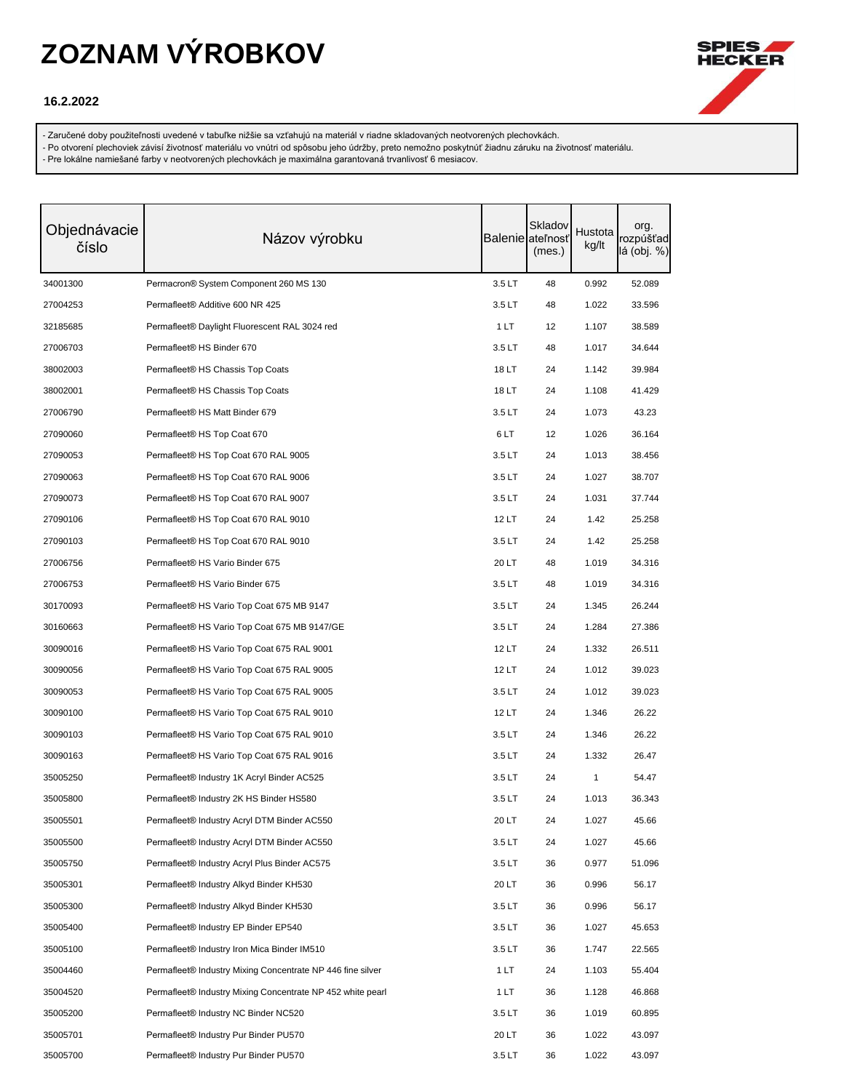

### **16.2.2022**

- Zaručené doby použiteľnosti uvedené v tabuľke nižšie sa vzťahujú na materiál v riadne skladovaných neotvorených plechovkách.

- Po otvorení plechoviek závisí životnosť materiálu vo vnútri od spôsobu jeho údržby, preto nemožno poskytnúť žiadnu záruku na životnosť materiálu.

| Objednávacie<br>číslo | Názov výrobku                                              |        | Skladov<br><b>Balenie</b> ateľnosť<br>(mes.) | Hustota<br>kg/lt | org.<br>rozpúšťad<br>lá (obj. %) |
|-----------------------|------------------------------------------------------------|--------|----------------------------------------------|------------------|----------------------------------|
| 34001300              | Permacron® System Component 260 MS 130                     | 3.5 LT | 48                                           | 0.992            | 52.089                           |
| 27004253              | Permafleet® Additive 600 NR 425                            | 3.5LT  | 48                                           | 1.022            | 33.596                           |
| 32185685              | Permafleet® Daylight Fluorescent RAL 3024 red              | 1 LT   | 12                                           | 1.107            | 38.589                           |
| 27006703              | Permafleet <sup>®</sup> HS Binder 670                      | 3.5LT  | 48                                           | 1.017            | 34.644                           |
| 38002003              | Permafleet® HS Chassis Top Coats                           | 18 LT  | 24                                           | 1.142            | 39.984                           |
| 38002001              | Permafleet® HS Chassis Top Coats                           | 18 LT  | 24                                           | 1.108            | 41.429                           |
| 27006790              | Permafleet <sup>®</sup> HS Matt Binder 679                 | 3.5LT  | 24                                           | 1.073            | 43.23                            |
| 27090060              | Permafleet® HS Top Coat 670                                | 6LT    | 12                                           | 1.026            | 36.164                           |
| 27090053              | Permafleet® HS Top Coat 670 RAL 9005                       | 3.5LT  | 24                                           | 1.013            | 38.456                           |
| 27090063              | Permafleet <sup>®</sup> HS Top Coat 670 RAL 9006           | 3.5LT  | 24                                           | 1.027            | 38.707                           |
| 27090073              | Permafleet® HS Top Coat 670 RAL 9007                       | 3.5LT  | 24                                           | 1.031            | 37.744                           |
| 27090106              | Permafleet® HS Top Coat 670 RAL 9010                       | 12 LT  | 24                                           | 1.42             | 25.258                           |
| 27090103              | Permafleet® HS Top Coat 670 RAL 9010                       | 3.5LT  | 24                                           | 1.42             | 25.258                           |
| 27006756              | Permafleet® HS Vario Binder 675                            | 20 LT  | 48                                           | 1.019            | 34.316                           |
| 27006753              | Permafleet® HS Vario Binder 675                            | 3.5LT  | 48                                           | 1.019            | 34.316                           |
| 30170093              | Permafleet® HS Vario Top Coat 675 MB 9147                  | 3.5LT  | 24                                           | 1.345            | 26.244                           |
| 30160663              | Permafleet® HS Vario Top Coat 675 MB 9147/GE               | 3.5LT  | 24                                           | 1.284            | 27.386                           |
| 30090016              | Permafleet® HS Vario Top Coat 675 RAL 9001                 | 12 LT  | 24                                           | 1.332            | 26.511                           |
| 30090056              | Permafleet® HS Vario Top Coat 675 RAL 9005                 | 12 LT  | 24                                           | 1.012            | 39.023                           |
| 30090053              | Permafleet® HS Vario Top Coat 675 RAL 9005                 | 3.5LT  | 24                                           | 1.012            | 39.023                           |
| 30090100              | Permafleet® HS Vario Top Coat 675 RAL 9010                 | 12 LT  | 24                                           | 1.346            | 26.22                            |
| 30090103              | Permafleet® HS Vario Top Coat 675 RAL 9010                 | 3.5LT  | 24                                           | 1.346            | 26.22                            |
| 30090163              | Permafleet® HS Vario Top Coat 675 RAL 9016                 | 3.5LT  | 24                                           | 1.332            | 26.47                            |
| 35005250              | Permafleet® Industry 1K Acryl Binder AC525                 | 3.5LT  | 24                                           | 1                | 54.47                            |
| 35005800              | Permafleet <sup>®</sup> Industry 2K HS Binder HS580        | 3.5 LT | 24                                           | 1.013            | 36.343                           |
| 35005501              | Permafleet® Industry Acryl DTM Binder AC550                | 20 LT  | 24                                           | 1.027            | 45.66                            |
| 35005500              | Permafleet® Industry Acryl DTM Binder AC550                | 3.5 LT | 24                                           | 1.027            | 45.66                            |
| 35005750              | Permafleet <sup>®</sup> Industry Acryl Plus Binder AC575   | 3.5LT  | 36                                           | 0.977            | 51.096                           |
| 35005301              | Permafleet® Industry Alkyd Binder KH530                    | 20 LT  | 36                                           | 0.996            | 56.17                            |
| 35005300              | Permafleet® Industry Alkyd Binder KH530                    | 3.5LT  | 36                                           | 0.996            | 56.17                            |
| 35005400              | Permafleet® Industry EP Binder EP540                       | 3.5 LT | 36                                           | 1.027            | 45.653                           |
| 35005100              | Permafleet® Industry Iron Mica Binder IM510                | 3.5LT  | 36                                           | 1.747            | 22.565                           |
| 35004460              | Permafleet® Industry Mixing Concentrate NP 446 fine silver | 1 LT   | 24                                           | 1.103            | 55.404                           |
| 35004520              | Permafleet® Industry Mixing Concentrate NP 452 white pearl | 1 LT   | 36                                           | 1.128            | 46.868                           |
| 35005200              | Permafleet® Industry NC Binder NC520                       | 3.5LT  | 36                                           | 1.019            | 60.895                           |
| 35005701              | Permafleet® Industry Pur Binder PU570                      | 20 LT  | 36                                           | 1.022            | 43.097                           |
| 35005700              | Permafleet <sup>®</sup> Industry Pur Binder PU570          | 3.5LT  | 36                                           | 1.022            | 43.097                           |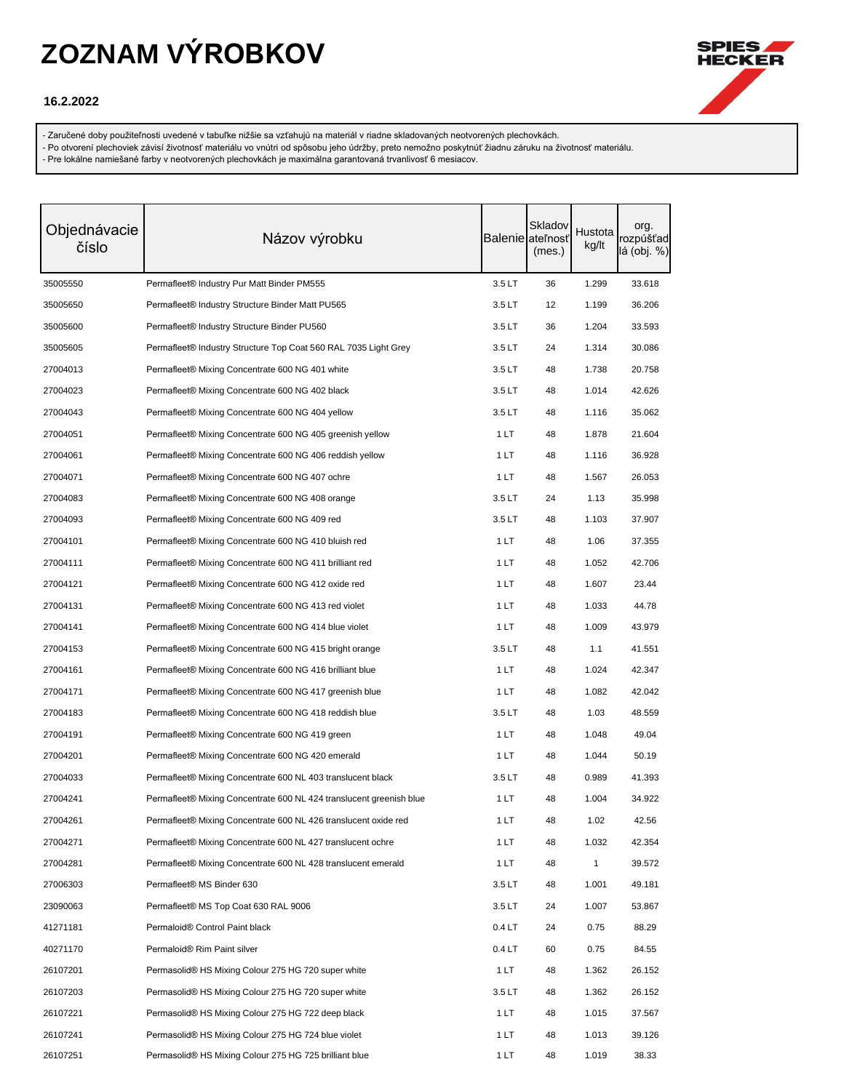

### **16.2.2022**

- Zaručené doby použiteľnosti uvedené v tabuľke nižšie sa vzťahujú na materiál v riadne skladovaných neotvorených plechovkách.

- Po otvorení plechoviek závisí životnosť materiálu vo vnútri od spôsobu jeho údržby, preto nemožno poskytnúť žiadnu záruku na životnosť materiálu.

| Objednávacie<br>číslo | Názov výrobku                                                       |                   | Skladov<br>Balenie ateľnosť<br>(mes.) | Hustota<br>kg/lt | org.<br>rozpúšťad<br>lá (obj. %) |
|-----------------------|---------------------------------------------------------------------|-------------------|---------------------------------------|------------------|----------------------------------|
| 35005550              | Permafleet® Industry Pur Matt Binder PM555                          | 3.5LT             | 36                                    | 1.299            | 33.618                           |
| 35005650              | Permafleet® Industry Structure Binder Matt PU565                    | 3.5LT             | 12                                    | 1.199            | 36.206                           |
| 35005600              | Permafleet <sup>®</sup> Industry Structure Binder PU560             | 3.5LT             | 36                                    | 1.204            | 33.593                           |
| 35005605              | Permafleet® Industry Structure Top Coat 560 RAL 7035 Light Grey     | 3.5LT             | 24                                    | 1.314            | 30.086                           |
| 27004013              | Permafleet® Mixing Concentrate 600 NG 401 white                     | 3.5LT             | 48                                    | 1.738            | 20.758                           |
| 27004023              | Permafleet® Mixing Concentrate 600 NG 402 black                     | 3.5 LT            | 48                                    | 1.014            | 42.626                           |
| 27004043              | Permafleet® Mixing Concentrate 600 NG 404 yellow                    | 3.5LT             | 48                                    | 1.116            | 35.062                           |
| 27004051              | Permafleet® Mixing Concentrate 600 NG 405 greenish yellow           | 1 LT              | 48                                    | 1.878            | 21.604                           |
| 27004061              | Permafleet® Mixing Concentrate 600 NG 406 reddish yellow            | 1 LT              | 48                                    | 1.116            | 36.928                           |
| 27004071              | Permafleet® Mixing Concentrate 600 NG 407 ochre                     | 1 LT              | 48                                    | 1.567            | 26.053                           |
| 27004083              | Permafleet® Mixing Concentrate 600 NG 408 orange                    | 3.5LT             | 24                                    | 1.13             | 35.998                           |
| 27004093              | Permafleet® Mixing Concentrate 600 NG 409 red                       | 3.5LT             | 48                                    | 1.103            | 37.907                           |
| 27004101              | Permafleet® Mixing Concentrate 600 NG 410 bluish red                | 1 LT              | 48                                    | 1.06             | 37.355                           |
| 27004111              | Permafleet® Mixing Concentrate 600 NG 411 brilliant red             | 1 LT              | 48                                    | 1.052            | 42.706                           |
| 27004121              | Permafleet® Mixing Concentrate 600 NG 412 oxide red                 | 1 LT              | 48                                    | 1.607            | 23.44                            |
| 27004131              | Permafleet® Mixing Concentrate 600 NG 413 red violet                | 1 LT              | 48                                    | 1.033            | 44.78                            |
| 27004141              | Permafleet® Mixing Concentrate 600 NG 414 blue violet               | 1 LT              | 48                                    | 1.009            | 43.979                           |
| 27004153              | Permafleet® Mixing Concentrate 600 NG 415 bright orange             | 3.5LT             | 48                                    | 1.1              | 41.551                           |
| 27004161              | Permafleet® Mixing Concentrate 600 NG 416 brilliant blue            | 1 LT              | 48                                    | 1.024            | 42.347                           |
| 27004171              | Permafleet® Mixing Concentrate 600 NG 417 greenish blue             | 1 LT              | 48                                    | 1.082            | 42.042                           |
| 27004183              | Permafleet® Mixing Concentrate 600 NG 418 reddish blue              | 3.5LT             | 48                                    | 1.03             | 48.559                           |
| 27004191              | Permafleet® Mixing Concentrate 600 NG 419 green                     | 1 LT              | 48                                    | 1.048            | 49.04                            |
| 27004201              | Permafleet® Mixing Concentrate 600 NG 420 emerald                   | 1 LT              | 48                                    | 1.044            | 50.19                            |
| 27004033              | Permafleet® Mixing Concentrate 600 NL 403 translucent black         | 3.5 LT            | 48                                    | 0.989            | 41.393                           |
| 27004241              | Permafleet® Mixing Concentrate 600 NL 424 translucent greenish blue | 1 LT              | 48                                    | 1.004            | 34.922                           |
| 27004261              | Permafleet® Mixing Concentrate 600 NL 426 translucent oxide red     | 1LT               | 48                                    | 1.02             | 42.56                            |
| 27004271              | Permafleet® Mixing Concentrate 600 NL 427 translucent ochre         | 1 LT              | 48                                    | 1.032            | 42.354                           |
| 27004281              | Permafleet® Mixing Concentrate 600 NL 428 translucent emerald       | 1 LT              | 48                                    | 1                | 39.572                           |
| 27006303              | Permafleet® MS Binder 630                                           | 3.5LT             | 48                                    | 1.001            | 49.181                           |
| 23090063              | Permafleet® MS Top Coat 630 RAL 9006                                | 3.5 LT            | 24                                    | 1.007            | 53.867                           |
| 41271181              | Permaloid® Control Paint black                                      | 0.4LT             | 24                                    | 0.75             | 88.29                            |
| 40271170              | Permaloid <sup>®</sup> Rim Paint silver                             | 0.4 <sub>LT</sub> | 60                                    | 0.75             | 84.55                            |
| 26107201              | Permasolid® HS Mixing Colour 275 HG 720 super white                 | 1 LT              | 48                                    | 1.362            | 26.152                           |
| 26107203              | Permasolid® HS Mixing Colour 275 HG 720 super white                 | 3.5LT             | 48                                    | 1.362            | 26.152                           |
| 26107221              | Permasolid® HS Mixing Colour 275 HG 722 deep black                  | 1 LT              | 48                                    | 1.015            | 37.567                           |
| 26107241              | Permasolid® HS Mixing Colour 275 HG 724 blue violet                 | 1 LT              | 48                                    | 1.013            | 39.126                           |
| 26107251              | Permasolid® HS Mixing Colour 275 HG 725 brilliant blue              | 1 LT              | 48                                    | 1.019            | 38.33                            |